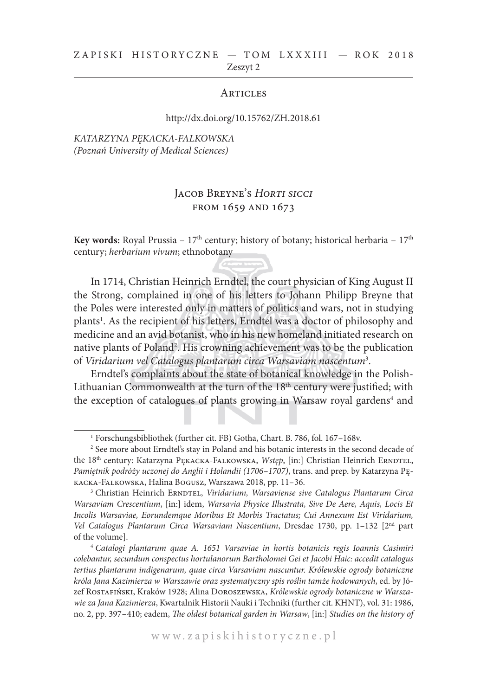#### ZAPISKI HISTORYCZNE - TOM LXXXIII - ROK 2018 Zeszyt 2

#### **ARTICLES**

#### http://dx.doi.org/10.15762/ZH.2018.61

#### *KATARZYNA PĘKACKA-FALKOWSKA (Poznań University of Medical Sciences)*

# Jacob Breyne's *Horti sicci* from 1659 and 1673

**Key words:** Royal Prussia – 17<sup>th</sup> century; history of botany; historical herbaria – 17<sup>th</sup> century; *herbarium vivum*; ethnobotany

In 1714, Christian Heinrich Erndtel, the court physician of King August II the Strong, complained in one of his letters to Johann Philipp Breyne that the Poles were interested only in matters of politics and wars, not in studying plants<sup>1</sup>. As the recipient of his letters, Erndtel was a doctor of philosophy and medicine and an avid botanist, who in his new homeland initiated research on native plants of Poland<sup>2</sup>. His crowning achievement was to be the publication of *Viridarium vel Catalogus plantarum circa Warsaviam nascentum*<sup>3</sup> .

Erndtel's complaints about the state of botanical knowledge in the Polish-Lithuanian Commonwealth at the turn of the 18<sup>th</sup> century were justified; with the exception of catalogues of plants growing in Warsaw royal gardens<sup>4</sup> and

<sup>1</sup> Forschungsbibliothek (further cit. FB) Gotha, Chart. B. 786, fol. 167–168v.

<sup>&</sup>lt;sup>2</sup> See more about Erndtel's stay in Poland and his botanic interests in the second decade of the 18<sup>th</sup> century: Katarzyna PEKACKA-FALKOWSKA, *Wstęp*, [in:] Christian Heinrich ERNDTEL, *Pamiętnik podróży uczonej do Anglii i Holandii (1706–1707)*, trans. and prep. by Katarzyna Pękacka-Falkowska, Halina Bogusz, Warszawa 2018, pp. 11–36.

<sup>&</sup>lt;sup>3</sup> Christian Heinrich ERNDTEL, *Viridarium, Warsaviense sive Catalogus Plantarum Circa Warsaviam Crescentium*, [in:] idem, *Warsavia Physice Illustrata, Sive De Aere, Aquis, Locis Et Incolis Warsaviae, Eorundemque Moribus Et Morbis Tractatus; Cui Annexum Est Viridarium, Vel Catalogus Plantarum Circa Warsaviam Nascentium*, Dresdae 1730, pp. 1–132 [2nd part of the volume].

<sup>4</sup> *Catalogi plantarum quae A. 1651 Varsaviae in hortis botanicis regis Ioannis Casimiri colebantur, secundum conspectus hortulanorum Bartholomei Gei et Jacobi Haic: accedit catalogus tertius plantarum indigenarum, quae circa Varsaviam nascuntur. Królewskie ogrody botaniczne króla Jana Kazimierza w Warszawie oraz systematyczny spis roślin tamże hodowanych*, ed. by Józef Rostafiński, Kraków 1928; Alina Doroszewska, *Królewskie ogrody botaniczne w Warszawie za Jana Kazimierza*, Kwartalnik Historii Nauki i Techniki (further cit. KHNT), vol. 31: 1986, no. 2, pp. 397–410; eadem, *The oldest botanical garden in Warsaw*, [in:] *Studies on the history of*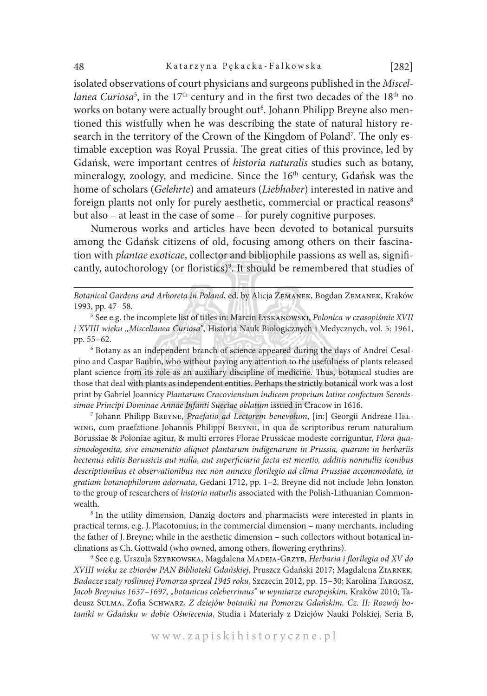isolated observations of court physicians and surgeons published in the *Miscel*l*anea Curiosa*<sup>5</sup>, in the 17<sup>th</sup> century and in the first two decades of the 18<sup>th</sup> no works on botany were actually brought out<sup>6</sup>. Johann Philipp Breyne also mentioned this wistfully when he was describing the state of natural history research in the territory of the Crown of the Kingdom of Poland7 . The only estimable exception was Royal Prussia. The great cities of this province, led by Gdańsk, were important centres of *historia naturalis* studies such as botany, mineralogy, zoology, and medicine. Since the 16<sup>th</sup> century, Gdańsk was the home of scholars (*Gelehrte*) and amateurs (*Liebhaber*) interested in native and foreign plants not only for purely aesthetic, commercial or practical reasons<sup>8</sup> but also – at least in the case of some – for purely cognitive purposes.

Numerous works and articles have been devoted to botanical pursuits among the Gdańsk citizens of old, focusing among others on their fascination with *plantae exoticae*, collector and bibliophile passions as well as, significantly, autochorology (or floristics)<sup>9</sup>. It should be remembered that studies of

*Botanical Gardens and Arboreta in Poland*, ed. by Alicja Zemanek, Bogdan Zemanek, Kraków 1993, pp. 47–58.

<sup>5</sup> See e.g. the incomplete list of titles in: Marcin Łyskanowski, *Polonica w czasopiśmie XVII i XVIII wieku "Miscellanea Curiosa"*, Historia Nauk Biologicznych i Medycznych, vol. 5: 1961, pp. 55–62.

<sup>6</sup> Botany as an independent branch of science appeared during the days of Andrei Cesalpino and Caspar Bauhin, who without paying any attention to the usefulness of plants released plant science from its role as an auxiliary discipline of medicine. Thus, botanical studies are those that deal with plants as independent entities. Perhaps the strictly botanical work was a lost print by Gabriel Joannicy *Plantarum Cracoviensium indicem proprium latine confectum Serenissimae Principi Dominae Annae Infanti Sueciae oblatum* issued in Cracow in 1616.

<sup>7</sup> Johann Philipp Breyne, *Praefatio ad Lectorem benevolum*, [in:] Georgii Andreae Helwing, cum praefatione Johannis Philippi BREYNII, in qua de scriptoribus rerum naturalium Borussiae & Poloniae agitur, & multi errores Florae Prussicae modeste corriguntur, *Flora quasimodogenita, sive enumeratio aliquot plantarum indigenarum in Prussia, quarum in herbariis hectenus editis Borussicis aut nulla, aut superficiaria facta est mentio, additis nonnullis iconibus descriptionibus et observationibus nec non annexo florilegio ad clima Prussiae accommodato, in gratiam botanophilorum adornata*, Gedani 1712, pp. 1–2. Breyne did not include John Jonston to the group of researchers of *historia naturlis* associated with the Polish-Lithuanian Commonwealth.

<sup>8</sup> In the utility dimension, Danzig doctors and pharmacists were interested in plants in practical terms, e.g. J. Placotomius; in the commercial dimension – many merchants, including the father of J. Breyne; while in the aesthetic dimension – such collectors without botanical inclinations as Ch. Gottwald (who owned, among others, flowering erythrins).

<sup>9</sup> See e.g. Urszula Szybkowska, Magdalena Madeja-Grzyb, *Herbaria i florilegia od XV do XVIII wieku ze zbiorów PAN Biblioteki Gdańskiej*, Pruszcz Gdański 2017; Magdalena Ziarnek*, Badacze szaty roślinnej Pomorza sprzed 1945 roku*, Szczecin 2012, pp. 15–30; Karolina Targosz, *Jacob Breynius 1637–1697, "botanicus celeberrimus" w wymiarze europejskim*, Kraków 2010; Tadeusz Sulma, Zofia Schwarz, *Z dziejów botaniki na Pomorzu Gdańskim. Cz. II: Rozwój botaniki w Gdańsku w dobie Oświecenia*, Studia i Materiały z Dziejów Nauki Polskiej, Seria B,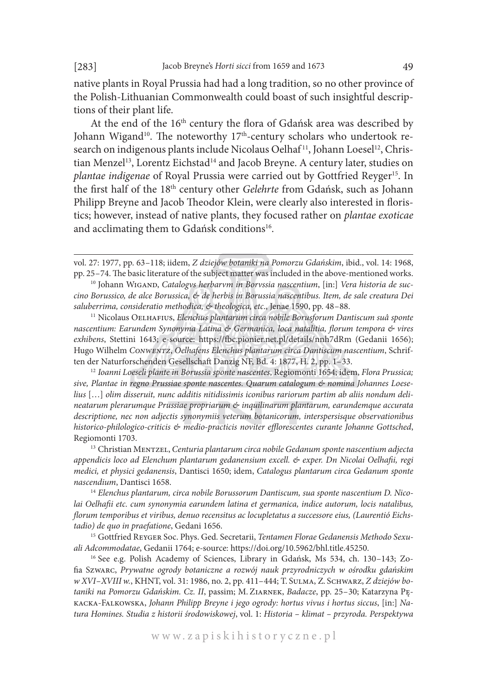native plants in Royal Prussia had had a long tradition, so no other province of the Polish-Lithuanian Commonwealth could boast of such insightful descriptions of their plant life.

At the end of the 16<sup>th</sup> century the flora of Gdańsk area was described by Johann Wigand<sup>10</sup>. The noteworthy 17<sup>th</sup>-century scholars who undertook research on indigenous plants include Nicolaus Oelhaf<sup>11</sup>, Johann Loesel<sup>12</sup>, Christian Menzel<sup>13</sup>, Lorentz Eichstad<sup>14</sup> and Jacob Breyne. A century later, studies on *plantae indigenae* of Royal Prussia were carried out by Gottfried Reyger<sup>15</sup>. In the first half of the 18th century other *Gelehrte* from Gdańsk, such as Johann Philipp Breyne and Jacob Theodor Klein, were clearly also interested in floristics; however, instead of native plants, they focused rather on *plantae exoticae* and acclimating them to Gdańsk conditions<sup>16</sup>.

<sup>11</sup> Nicolaus Oelhafius, *Elenchus plantarum circa nobile Borusforum Dantiscum suâ sponte nascentium: Earundem Synonyma Latina & Germanica, loca natalitia, florum tempora & vires exhibens*, Stettini 1643; e-source: https://fbc.pionier.net.pl/details/nnh7dRm (Gedanii 1656); Hugo Wilhelm *Conwentz*, *Oelhafens Elenchus plantarum circa Dantiscum nascentium*, Schriften der Naturforschenden Gesellschaft Danzig NF, Bd. 4: 1877, H. 2, pp. 1–33.

<sup>12</sup> *Ioanni Loeseli plante in Borussia sponte nascentes*, Regiomonti 1654; idem, *Flora Prussica; sive, Plantae in regno Prussiae sponte nascentes. Quarum catalogum & nomina Johannes Loeselius* […] *olim disseruit, nunc additis nitidissimis iconibus rariorum partim ab aliis nondum delineatarum plerarumque Prussiae propriarum & inquilinarum plantarum, earundemque accurata descriptione, nec non adjectis synonymiis veterum botanicorum, interspersisque observationibus historico-philologico-criticis & medio-practicis noviter efflorescentes curante Johanne Gottsched*, Regiomonti 1703.

<sup>13</sup> Christian Mentzel, *Centuria plantarum circa nobile Gedanum sponte nascentium adjecta appendicis loco ad Elenchum plantarum gedanensium excell. & exper. Dn Nicolai Oelhafii, regi medici, et physici gedanensis*, Dantisci 1650; idem, *Catalogus plantarum circa Gedanum sponte nascendium*, Dantisci 1658.

<sup>14</sup> *Elenchus plantarum, circa nobile Borussorum Dantiscum, sua sponte nascentium D. Nicolai Oelhafii etc. cum synonymia earundem latina et germanica, indice autorum, locis natalibus, florum temporibus et viribus, denuo recensitus ac locupletatus a successore eius, (Laurentió Eichstadio) de quo in praefatione*, Gedani 1656.

<sup>15</sup> Gottfried Reyger Soc. Phys. Ged. Secretarii, *Tentamen Florae Gedanensis Methodo Sexuali Adcommodatae*, Gedanii 1764; e-source: https://doi.org/10.5962/bhl.title.45250.

<sup>16</sup> See e.g. Polish Academy of Sciences, Library in Gdańsk, Ms 534, ch. 130–143; Zofia Szwarc, *Prywatne ogrody botaniczne a rozwój nauk przyrodniczych w ośrodku gdańskim w XVI–XVIIIw.*, KHNT, vol. 31: 1986, no. 2, pp. 411–444; T. Sulma, Z. Schwarz, *Z dziejów botaniki na Pomorzu Gdańskim. Cz. II*, passim; M. Ziarnek, *Badacze*, pp. 25–30; Katarzyna Pękacka-Falkowska, *Johann Philipp Breyne i jego ogrody: hortus vivus i hortus siccus*, [in:] *Natura Homines. Studia z historii środowiskowej*, vol. 1: *Historia – klimat – przyroda. Perspektywa* 

vol. 27: 1977, pp. 63–118; iidem, *Z dziejów botaniki na Pomorzu Gdańskim*, ibid., vol. 14: 1968, pp. 25–74. The basic literature of the subject matter was included in the above-mentioned works.

<sup>&</sup>lt;sup>10</sup> Johann WIGAND, Catalogys herbarvm in Boryssia nascentium, [in:] Vera historia de suc*cino Borussico, de alce Borussica, & de herbis in Borussia nascentibus. Item, de sale creatura Dei saluberrima, consideratio methodica, & theologica, etc*., Jenae 1590, pp. 48–88.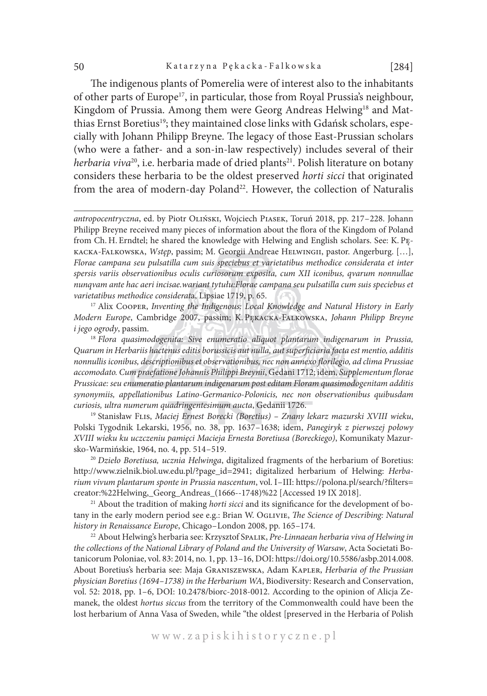The indigenous plants of Pomerelia were of interest also to the inhabitants of other parts of Europe<sup>17</sup>, in particular, those from Royal Prussia's neighbour, Kingdom of Prussia. Among them were Georg Andreas Helwing<sup>18</sup> and Matthias Ernst Boretius<sup>19</sup>; they maintained close links with Gdańsk scholars, especially with Johann Philipp Breyne. The legacy of those East-Prussian scholars (who were a father- and a son-in-law respectively) includes several of their *herbaria viva*<sup>20</sup>, i.e. herbaria made of dried plants<sup>21</sup>. Polish literature on botany considers these herbaria to be the oldest preserved *horti sicci* that originated from the area of modern-day Poland<sup>22</sup>. However, the collection of Naturalis

<sup>17</sup> Alix Cooper, *Inventing the Indigenous: Local Knowledge and Natural History in Early Modern Europe*, Cambridge 2007, passim; K. Pękacka-Falkowska, *Johann Philipp Breyne i jego ogrody*, passim.

<sup>18</sup> *Flora quasimodogenita: Sive enumeratio aliquot plantarum indigenarum in Prussia, Quarum in Herbariis hactenus editis borussicis aut nulla, aut superficiaria facta est mentio, additis nonnullis iconibus, descriptionibus et observationibus, nec non annexo florilegio, ad clima Prussiae accomodato. Cum praefatione Johannis Philippi Breynii*, Gedani 1712; idem, *Supplementum florae Prussicae: seu enumeratio plantarum indigenarum post editam Floram quasimodogenitam additis synonymiis, appellationibus Latino-Germanico-Polonicis, nec non observationibus quibusdam curiosis, ultra numerum quadringentesimum aucta*, Gedanii 1726.

<sup>19</sup> Stanisław Flis, *Maciej Ernest Borecki (Boretius) – Znany lekarz mazurski XVIII wieku*, Polski Tygodnik Lekarski, 1956, no. 38, pp. 1637–1638; idem, *Panegiryk z pierwszej połowy XVIII wieku ku uczczeniu pamięci Macieja Ernesta Boretiusa (Boreckiego)*, Komunikaty Mazursko-Warmińskie, 1964, no. 4, pp. 514–519.

<sup>20</sup> *Dzieło Boretiusa, ucznia Helwinga*, digitalized fragments of the herbarium of Boretius: http://www.zielnik.biol.uw.edu.pl/?page\_id=2941; digitalized herbarium of Helwing: *Herbarium vivum plantarum sponte in Prussia nascentum*, vol. I–III: https://polona.pl/search/?filters= creator:%22Helwing,\_Georg\_Andreas\_(1666--1748)%22 [Accessed 19 IX 2018].

<sup>21</sup> About the tradition of making *horti sicci* and its significance for the development of botany in the early modern period see e.g.: Brian W. Oglivie, *The Science of Describing: Natural history in Renaissance Europe*, Chicago–London 2008, pp. 165–174.

<sup>22</sup> About Helwing's herbaria see: Krzysztof Spalik, *Pre-Linnaean herbaria viva of Helwing in the collections of the National Library of Poland and the University of Warsaw*, Acta Societati Botanicorum Poloniae, vol. 83: 2014, no. 1, pp. 13–16, DOI: https://doi.org/10.5586/asbp.2014.008. About Boretius's herbaria see: Maja Graniszewska, Adam Kapler, *Herbaria of the Prussian physician Boretius (1694–1738) in the Herbarium WA*, Biodiversity: Research and Conservation, vol. 52: 2018, pp. 1–6, DOI: 10.2478/biorc-2018-0012. According to the opinion of Alicja Zemanek, the oldest *hortus siccus* from the territory of the Commonwealth could have been the lost herbarium of Anna Vasa of Sweden, while "the oldest [preserved in the Herbaria of Polish

w w w . z a p i s k i h i s t o r y c z n e . p l

*antropocentryczna*, ed. by Piotr Oliński, Wojciech Piasek, Toruń 2018, pp. 217–228. Johann Philipp Breyne received many pieces of information about the flora of the Kingdom of Poland from Ch. H. Erndtel; he shared the knowledge with Helwing and English scholars. See: K. Pękacka-Falkowska, *Wstęp*, passim; M. Georgii Andreae Helwingii, pastor. Angerburg. […], *Florae campana seu pulsatilla cum suis speciebus et varietatibus methodice considerata et inter spersis variis observationibus oculis curiosorum exposita, cum XII iconibus, qvarum nonnullae nunqvam ante hac aeri incisae.wariant tytułu:Florae campana seu pulsatilla cum suis speciebus et varietatibus methodice considerat*a, Lipsiae 1719, p. 65.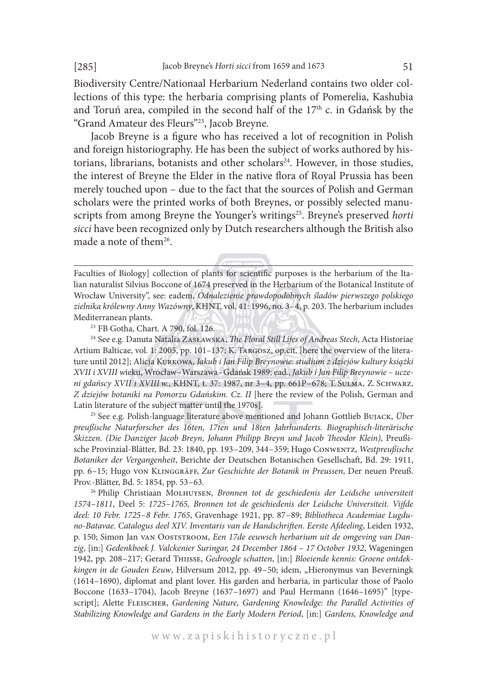Biodiversity Centre/Nationaal Herbarium Nederland contains two older collections of this type: the herbaria comprising plants of Pomerelia, Kashubia and Toruń area, compiled in the second half of the  $17<sup>th</sup>$  c. in Gdańsk by the "Grand Amateur des Fleurs"23, Jacob Breyne.

Jacob Breyne is a figure who has received a lot of recognition in Polish and foreign historiography. He has been the subject of works authored by historians, librarians, botanists and other scholars<sup>24</sup>. However, in those studies, the interest of Breyne the Elder in the native flora of Royal Prussia has been merely touched upon – due to the fact that the sources of Polish and German scholars were the printed works of both Breynes, or possibly selected manuscripts from among Breyne the Younger's writings<sup>25</sup>. Breyne's preserved *horti sicci* have been recognized only by Dutch researchers although the British also made a note of them<sup>26</sup>.

<sup>23</sup> FB Gotha, Chart. A 790, fol. 126.

<sup>24</sup> See e.g. Danuta Natalia ZASŁAWSKA, *The Floral Still Lifes of Andreas Stech*, Acta Historiae Artium Balticae, vol. 1: 2005, pp. 101–137; K. Targosz, op.cit. [here the overview of the literature until 2012]; Alicja Kurkowa, *Jakub i Jan Filip Breynowie: studium z dziejów kultury książki XVII i XVIII w*ieku, Wrocław–Warszawa–Gdańsk 1989; ead., *Jakub i Jan Filip Breynowie – uczeni gdańscy XVII i XVIII w.*, KHNT, t. 37: 1987, nr 3–4, pp. 661P–678; T. Sulma, Z. Schwarz, *Z dziejów botaniki na Pomorzu Gdańskim. Cz. II* [here the review of the Polish, German and Latin literature of the subject matter until the 1970s].

<sup>25</sup> See e.g. Polish-language literature above mentioned and Johann Gottlieb Bujack, *Über preußische Naturforscher des 16ten, 17ten und 18ten Jahrhunderts. Biographisch-literärische Skizzen. (Die Danziger Jacob Breyn, Johann Philipp Breyn und Jacob Theodor Klein)*, Preußische Provinzial-Blätter, Bd. 23: 1840, pp. 193–209, 344–359; Hugo Conwentz, *Westpreußische Botaniker der Vergangenheit*, Berichte der Deutschen Botanischen Gesellschaft, Bd. 29: 1911, pp. 6–15; Hugo von Klinggräff, *Zur Geschichte der Botanik in Preussen*, Der neuen Preuß. Prov.-Blätter, Bd. 5: 1854, pp. 53–63.

<sup>26</sup> Philip Christiaan Molhuysen, *Bronnen tot de geschiedenis der Leidsche universiteit 1574–1811*, Deel 5: *1725–1765, Bronnen tot de geschiedenis der Leidsche Universiteit. Vijfde deel: 10 Febr. 1725–8 Febr. 1765*, Gravenhage 1921, pp. 87–89; *Bibliotheca Academiae Lugduno-Batavae. Catalogus deel XIV. Inventaris van de Handschriften. Eerste Afdeeling*, Leiden 1932, p. 150; Simon Jan van Ooststroom, *Een 17de eeuwsch herbarium uit de omgeving van Danzig*, [in:] *Gedenkboek J. Valckenier Suringar, 24 December 1864 – 17 October 1932*, Wageningen 1942, pp. 208–217; Gerard Thijsse, *Gedroogle schatten*, [in:] *Bloeiende kennis: Groene ontdekkingen in de Gouden Eeuw*, Hilversum 2012, pp. 49–50; idem, "Hieronymus van Beverningk (1614–1690), diplomat and plant lover. His garden and herbaria, in particular those of Paolo Boccone (1633–1704), Jacob Breyne (1637–1697) and Paul Hermann (1646–1695)" [typescript]; Alette FLEISCHER, *Gardening Nature, Gardening Knowledge: the Parallel Activities of Stabilizing Knowledge and Gardens in the Early Modern Period*, [in:] *Gardens, Knowledge and* 

Faculties of Biology] collection of plants for scientific purposes is the herbarium of the Italian naturalist Silvius Boccone of 1674 preserved in the Herbarium of the Botanical Institute of Wrocław University", see: eadem, *Odnalezienie prawdopodobnych śladów pierwszego polskiego zielnika królewny Anny Wazówny*, KHNT, vol. 41: 1996, no. 3–4, p. 203. The herbarium includes Mediterranean plants.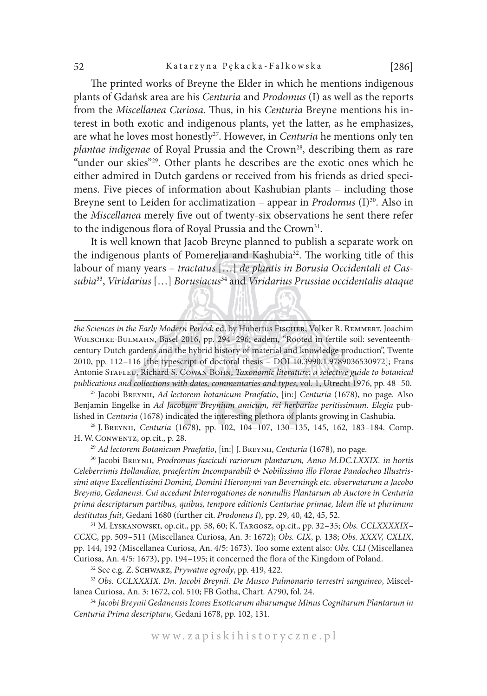The printed works of Breyne the Elder in which he mentions indigenous plants of Gdańsk area are his *Centuria* and *Prodomus* (I) as well as the reports from the *Miscellanea Curiosa*. Thus, in his *Centuria* Breyne mentions his interest in both exotic and indigenous plants, yet the latter, as he emphasizes, are what he loves most honestly<sup>27</sup>. However, in *Centuria* he mentions only ten *plantae indigenae* of Royal Prussia and the Crown<sup>28</sup>, describing them as rare "under our skies"29. Other plants he describes are the exotic ones which he either admired in Dutch gardens or received from his friends as dried specimens. Five pieces of information about Kashubian plants – including those Breyne sent to Leiden for acclimatization – appear in *Prodomus* (I)<sup>30</sup>. Also in the *Miscellanea* merely five out of twenty-six observations he sent there refer to the indigenous flora of Royal Prussia and the Crown<sup>31</sup>.

It is well known that Jacob Breyne planned to publish a separate work on the indigenous plants of Pomerelia and Kashubia<sup>32</sup>. The working title of this labour of many years – *tractatus* […] *de plantis in Borusia Occidentali et Cassubia*33, *Viridarius* […] *Borusiacus*34 and *Viridarius Prussiae occidentalis ataque* 

<sup>27</sup> Jacobi Breynii, *Ad lectorem botanicum Praefatio*, [in:] *Centuria* (1678), no page. Also Benjamin Engelke in *Ad Jacobum Breynium amicum, rei herbariae peritissimum. Elegia* published in *Centuria* (1678) indicated the interesting plethora of plants growing in Cashubia.

<sup>28</sup> J. Breynii, *Centuria* (1678), pp. 102, 104–107, 130–135, 145, 162, 183–184. Comp. H. W. Conwentz, op.cit., p. 28.

<sup>29</sup> *Ad lectorem Botanicum Praefatio*, [in:] J. Breynii, *Centuria* (1678), no page.

<sup>30</sup> Jacobi BREYNII, *Prodromus fasciculi rariorum plantarum*, Anno M.DC.LXXIX. in hortis *Celeberrimis Hollandiae, praefertim Incomparabili & Nobilissimo illo Florae Pandocheo Illustrissimi atqve Excellentissimi Domini, Domini Hieronymi van Beverningk etc. observatarum a Jacobo Breynio, Gedanensi. Cui accedunt Interrogationes de nonnullis Plantarum ab Auctore in Centuria prima descriptarum partibus, quibus, tempore editionis Centuriae primae, Idem ille ut plurimum destitutus fuit*, Gedani 1680 (further cit. *Prodomus I*), pp. 29, 40, 42, 45, 52.

<sup>31</sup> M. Łyskanowski, op.cit., pp. 58, 60; K. Targosz, op.cit., pp. 32–35; *Obs. CCLXXXXIX– CCX*C, pp. 509–511 (Miscellanea Curiosa, An. 3: 1672); *Obs. CIX*, p. 138; *Obs. XXXV, CXLIX*, pp. 144, 192 (Miscellanea Curiosa, An. 4/5: 1673). Too some extent also: *Obs. CLI* (Miscellanea Curiosa, An. 4/5: 1673), pp. 194–195; it concerned the flora of the Kingdom of Poland.

<sup>32</sup> See e.g. Z. Schwarz, *Prywatne ogrody*, pp. 419, 422.

<sup>33</sup> *Obs. CCLXXXIX. Dn. Jacobi Breynii. De Musco Pulmonario terrestri sanguineo*, Miscellanea Curiosa, An. 3: 1672, col. 510; FB Gotha, Chart. A790, fol. 24.

<sup>34</sup> *Jacobi Breynii Gedanensis Icones Exoticarum aliarumque Minus Cognitarum Plantarum in Centuria Prima descriptaru*, Gedani 1678, pp. 102, 131.

*the Sciences in the Early Modern Period*, ed. by Hubertus Fischer, Volker R. Remmert, Joachim Wolschke-Bulmahn, Basel 2016, pp. 294–296; eadem, "Rooted in fertile soil: seventeenthcentury Dutch gardens and the hybrid history of material and knowledge production", Twente 2010, pp. 112–116 [the typescript of doctoral thesis – DOI 10.3990.1.9789036530972]; Frans Antonie Stafleu, Richard S. Cowan Bohn, *Taxonomic literature: a selective guide to botanical publications and collections with dates, commentaries and types*, vol. 1, Utrecht 1976, pp. 48–50.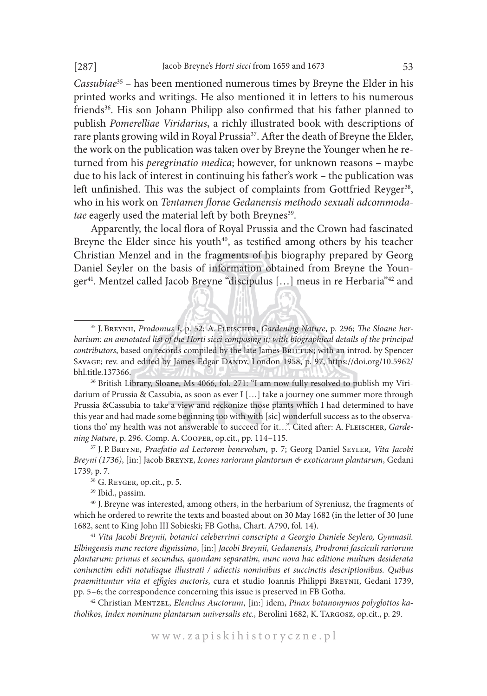*Cassubiae*<sup>35</sup> *–* has been mentioned numerous times by Breyne the Elder in his printed works and writings. He also mentioned it in letters to his numerous friends<sup>36</sup>. His son Johann Philipp also confirmed that his father planned to publish *Pomerelliae Viridarius*, a richly illustrated book with descriptions of rare plants growing wild in Royal Prussia<sup>37</sup>. After the death of Breyne the Elder, the work on the publication was taken over by Breyne the Younger when he returned from his *peregrinatio medica*; however, for unknown reasons – maybe due to his lack of interest in continuing his father's work – the publication was left unfinished. This was the subject of complaints from Gottfried Reyger<sup>38</sup>, who in his work on *Tentamen florae Gedanensis methodo sexuali adcommodatae* eagerly used the material left by both Breynes<sup>39</sup>.

Apparently, the local flora of Royal Prussia and the Crown had fascinated Breyne the Elder since his youth<sup>40</sup>, as testified among others by his teacher Christian Menzel and in the fragments of his biography prepared by Georg Daniel Seyler on the basis of information obtained from Breyne the Younger<sup>41</sup>. Mentzel called Jacob Breyne "discipulus [...] meus in re Herbaria"<sup>42</sup> and

<sup>42</sup> Christian Mentzel, *Elenchus Auctorum*, [in:] idem, *Pinax botanonymos polyglottos katholikos, Index nominum plantarum universalis etc.,* Berolini 1682, K. Targosz, op.cit., p. 29.

<sup>35</sup> J. Breynii, *Prodomus I*, p. 52; A. Fleischer, *Gardening Nature*, p. 296; *The Sloane herbarium: an annotated list of the Horti sicci composing it; with biographical details of the principal contributors*, based on records compiled by the late James BRITTEN; with an introd. by Spencer SAVAGE; rev. and edited by James Edgar DANDY, London 1958, p. 97, https://doi.org/10.5962/ bhl.title.137366.

<sup>&</sup>lt;sup>36</sup> British Library, Sloane, Ms 4066, fol. 271: "I am now fully resolved to publish my Viridarium of Prussia & Cassubia, as soon as ever I […] take a journey one summer more through Prussia &Cassubia to take a view and reckonize those plants which I had determined to have this year and had made some beginning too with with [sic] wonderfull success as to the observations tho' my health was not answerable to succeed for it...". Cited after: A. FLEISCHER, *Gardening Nature*, p. 296. Comp. A. Cooper, op.cit., pp. 114–115.

<sup>37</sup> J. P. Breyne, *Praefatio ad Lectorem benevolum*, p. 7; Georg Daniel Seyler, *Vita Jacobi Breyni (1736)*, [in:] Jacob Breyne, *Icones rariorum plantorum & exoticarum plantarum*, Gedani 1739, p. 7.

<sup>38</sup> G. Reyger, op.cit., p. 5.

<sup>39</sup> Ibid., passim.

<sup>40</sup> J. Breyne was interested, among others, in the herbarium of Syreniusz, the fragments of which he ordered to rewrite the texts and boasted about on 30 May 1682 (in the letter of 30 June 1682, sent to King John III Sobieski; FB Gotha, Chart. A790, fol. 14).

<sup>41</sup> *Vita Jacobi Breynii, botanici celeberrimi conscripta a Georgio Daniele Seylero, Gymnasii. Elbingensis nunc rectore dignissimo*, [in:] *Jacobi Breynii, Gedanensis, Prodromi fasciculi rariorum plantarum: primus et secundus, quondam separatim, nunc nova hac editione multum desiderata coniunctim editi notulisque illustrati / adiectis nominibus et succinctis descriptionibus. Quibus praemittuntur vita et effigies auctoris*, cura et studio Joannis Philippi Breynii, Gedani 1739, pp. 5–6; the correspondence concerning this issue is preserved in FB Gotha.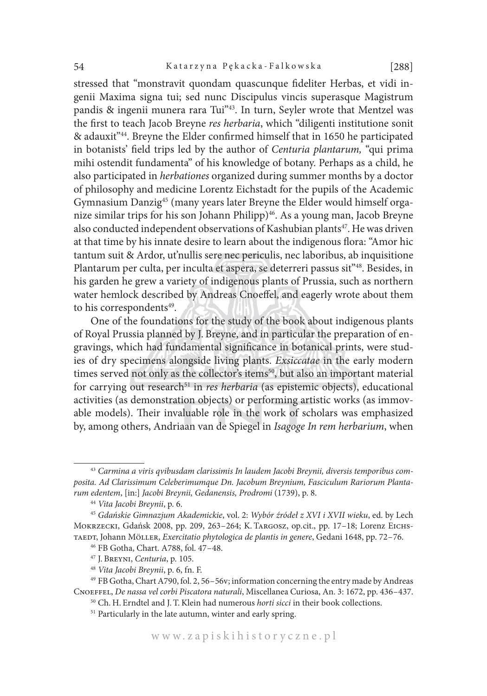stressed that "monstravit quondam quascunque fideliter Herbas, et vidi ingenii Maxima signa tui; sed nunc Discipulus vincis superasque Magistrum pandis & ingenii munera rara Tui"<sup>43</sup>. In turn, Seyler wrote that Mentzel was the first to teach Jacob Breyne *res herbaria*, which "diligenti institutione sonit & adauxit"44. Breyne the Elder confirmed himself that in 1650 he participated in botanists' field trips led by the author of *Centuria plantarum,* "qui prima mihi ostendit fundamenta" of his knowledge of botany. Perhaps as a child, he also participated in *herbationes* organized during summer months by a doctor of philosophy and medicine Lorentz Eichstadt for the pupils of the Academic Gymnasium Danzig45 (many years later Breyne the Elder would himself organize similar trips for his son Johann Philipp)<sup>46</sup>. As a young man, Jacob Breyne also conducted independent observations of Kashubian plants<sup>47</sup>. He was driven at that time by his innate desire to learn about the indigenous flora: "Amor hic tantum suit & Ardor, ut'nullis sere nec periculis, nec laboribus, ab inquisitione Plantarum per culta, per inculta et aspera, se deterreri passus sit<sup>"48</sup>. Besides, in his garden he grew a variety of indigenous plants of Prussia, such as northern water hemlock described by Andreas Cnoeffel, and eagerly wrote about them to his correspondents<sup>49</sup>.

One of the foundations for the study of the book about indigenous plants of Royal Prussia planned by J. Breyne, and in particular the preparation of engravings, which had fundamental significance in botanical prints, were studies of dry specimens alongside living plants. *Exsiccatae* in the early modern times served not only as the collector's items<sup>50</sup>, but also an important material for carrying out research<sup>51</sup> in *res herbaria* (as epistemic objects), educational activities (as demonstration objects) or performing artistic works (as immovable models). Their invaluable role in the work of scholars was emphasized by, among others, Andriaan van de Spiegel in *Isagoge In rem herbarium*, when

<sup>43</sup> *Carmina a viris qvibusdam clarissimis In laudem Jacobi Breynii, diversis temporibus composita. Ad Clarissimum Celeberimumque Dn. Jacobum Breynium, Fasciculum Rariorum Plantarum edentem*, [in:] *Jacobi Breynii, Gedanensis, Prodromi* (1739), p. 8.

<sup>44</sup> *Vita Jacobi Breynii*, p. 6.

<sup>45</sup> *Gdańskie Gimnazjum Akademickie*, vol. 2: *Wybór źródeł z XVI i XVII wieku*, ed. by Lech Mokrzecki, Gdańsk 2008, pp. 209, 263–264; K. Targosz, op.cit., pp. 17–18; Lorenz Eichstaedt, Johann Möller, *Exercitatio phytologica de plantis in genere*, Gedani 1648, pp. 72–76.

<sup>46</sup> FB Gotha, Chart. A788, fol. 47–48.

<sup>47</sup> J. Breyni, *Centuria*, p. 105.

<sup>48</sup> *Vita Jacobi Breynii*, p. 6, fn. F.

<sup>49</sup> FB Gotha, Chart A790, fol. 2, 56–56v; information concerning the entry made by Andreas Cnoeffel, *De nassa vel corbi Piscatora naturali*, Miscellanea Curiosa, An. 3: 1672, pp. 436–437.

<sup>50</sup> Ch. H. Erndtel and J. T.Klein had numerous *horti sicci* in their book collections.

<sup>&</sup>lt;sup>51</sup> Particularly in the late autumn, winter and early spring.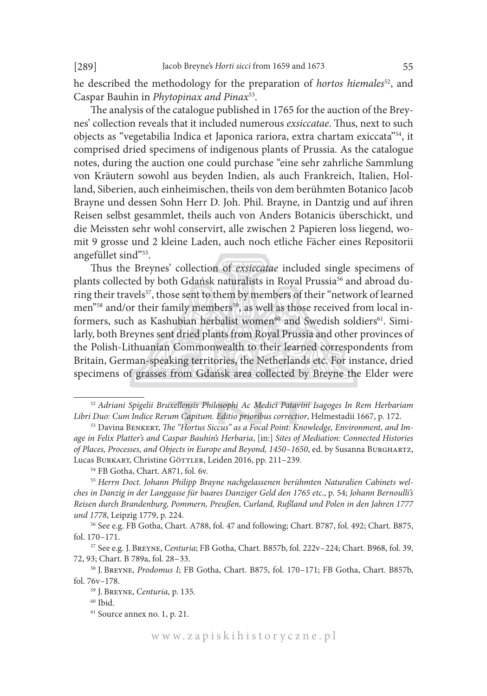he described the methodology for the preparation of *hortos hiemales*52, and Caspar Bauhin in *Phytopinax and Pinax*53.

The analysis of the catalogue published in 1765 for the auction of the Breynes' collection reveals that it included numerous *exsiccatae*. Thus, next to such objects as "vegetabilia Indica et Japonica rariora, extra chartam exiccata"54, it comprised dried specimens of indigenous plants of Prussia. As the catalogue notes, during the auction one could purchase "eine sehr zahrliche Sammlung von Kräutern sowohl aus beyden Indien, als auch Frankreich, Italien, Holland, Siberien, auch einheimischen, theils von dem berühmten Botanico Jacob Brayne und dessen Sohn Herr D. Joh. Phil. Brayne, in Dantzig und auf ihren Reisen selbst gesammlet, theils auch von Anders Botanicis überschickt, und die Meissten sehr wohl conservirt, alle zwischen 2 Papieren loss liegend, womit 9 grosse und 2 kleine Laden, auch noch etliche Fächer eines Repositorii angefüllet sind"55.

Thus the Breynes' collection of *exsiccatae* included single specimens of plants collected by both Gdańsk naturalists in Royal Prussia<sup>56</sup> and abroad during their travels<sup>57</sup>, those sent to them by members of their "network of learned men"<sup>58</sup> and/or their family members<sup>59</sup>, as well as those received from local informers, such as Kashubian herbalist women<sup>60</sup> and Swedish soldiers<sup>61</sup>. Similarly, both Breynes sent dried plants from Royal Prussia and other provinces of the Polish-Lithuanian Commonwealth to their learned correspondents from Britain, German-speaking territories, the Netherlands etc. For instance, dried specimens of grasses from Gdańsk area collected by Breyne the Elder were

<sup>52</sup> *Adriani Spigelii Bruxellensis Philosophi Ac Medici Patavini Isagoges In Rem Herbariam Libri Duo: Cum Indice Rerum Capitum. Editio prioribus correctior*, Helmestadii 1667, p. 172.

<sup>53</sup> Davina Benkert, *The "Hortus Siccus" as a Focal Point: Knowledge, Environment, and Image in Felix Platter's and Caspar Bauhin's Herbaria*, [in:] *Sites of Mediation: Connected Histories of Places, Processes, and Objects in Europe and Beyond, 1450–1650*, ed. by Susanna Burghartz, Lucas BURKART, Christine GÖTTLER, Leiden 2016, pp. 211-239.

<sup>54</sup> FB Gotha, Chart. A871, fol. 6v.

<sup>55</sup> *Herrn Doct. Johann Philipp Brayne nachgelassenen berühmten Naturalien Cabinets welches in Danzig in der Langgasse für baares Danziger Geld den 1765 etc*., p. 54; *Johann Bernoulli's Reisen durch Brandenburg, Pommern, Preußen, Curland, Rußland und Polen in den Jahren 1777 und 1778*, Leipzig 1779, p. 224.

<sup>56</sup> See e.g. FB Gotha, Chart. A788, fol. 47 and following; Chart. B787, fol. 492; Chart. B875, fol. 170–171.

<sup>57</sup> See e.g. J. Breyne, *Centuria*; FB Gotha, Chart. B857b, fol. 222v–224; Chart. B968, fol. 39, 72, 93; Chart. B 789a, fol. 28–33.

<sup>58</sup> J. Breyne, *Prodomus I*; FB Gotha, Chart. B875, fol. 170–171; FB Gotha, Chart. B857b, fol. 76v–178.

<sup>59</sup> J. Breyne, *Centuria*, p. 135*.*

 $60$  Ibid.

<sup>61</sup> Source annex no. 1, p. 21.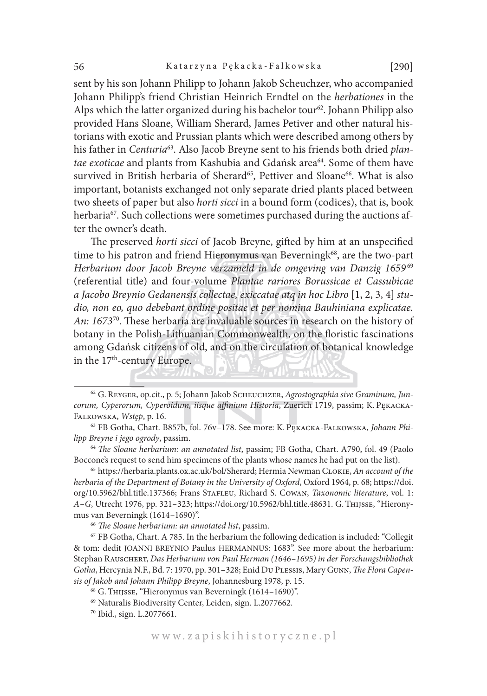sent by his son Johann Philipp to Johann Jakob Scheuchzer, who accompanied Johann Philipp's friend Christian Heinrich Erndtel on the *herbationes* in the Alps which the latter organized during his bachelor tour<sup>62</sup>. Johann Philipp also provided Hans Sloane, William Sherard, James Petiver and other natural historians with exotic and Prussian plants which were described among others by his father in *Centuria*63. Also Jacob Breyne sent to his friends both dried *plantae exoticae* and plants from Kashubia and Gdańsk area<sup>64</sup>. Some of them have survived in British herbaria of Sherard<sup>65</sup>, Pettiver and Sloane<sup>66</sup>. What is also important, botanists exchanged not only separate dried plants placed between two sheets of paper but also *horti sicci* in a bound form (codices), that is, book herbaria<sup>67</sup>. Such collections were sometimes purchased during the auctions after the owner's death.

The preserved *horti sicci* of Jacob Breyne, gifted by him at an unspecified time to his patron and friend Hieronymus van Beverningk<sup>68</sup>, are the two-part Herbarium door Jacob Breyne verzameld in de omgeving van Danzig 1659<sup>69</sup> (referential title) and four-volume *Plantae rariores Borussicae et Cassubicae a Jacobo Breynio Gedanensis collectae, exiccatae atq in hoc Libro* [1, 2, 3, 4] *studio, non eo, quo debebant ordine positae et per nomina Bauhiniana explicatae. An: 1673*70. These herbaria are invaluable sources in research on the history of botany in the Polish-Lithuanian Commonwealth, on the floristic fascinations among Gdańsk citizens of old, and on the circulation of botanical knowledge in the 17<sup>th</sup>-century Europe.

<sup>64</sup> *The Sloane herbarium: an annotated list*, passim; FB Gotha, Chart. A790, fol. 49 (Paolo Boccone's request to send him specimens of the plants whose names he had put on the list).

<sup>65</sup> https://herbaria.plants.ox.ac.uk/bol/Sherard; Hermia Newman Clokie, *An account of the herbaria of the Department of Botany in the University of Oxford*, Oxford 1964, p. 68; https://doi. org/10.5962/bhl.title.137366; Frans Stafleu, Richard S. Cowan, *Taxonomic literature*, vol. 1: *A–G*, Utrecht 1976, pp. 321–323; https://doi.org/10.5962/bhl.title.48631. G. Thijsse, "Hieronymus van Beverningk (1614–1690)". 66 *The Sloane herbarium: an annotated list*, passim.

<sup>67</sup> FB Gotha, Chart. A 785. In the herbarium the following dedication is included: "Collegit & tom: dedit JOANNI BREYNIO Paulus HERMANNUS: 1683". See more about the herbarium: Stephan Rauschert, *Das Herbarium von Paul Herman (1646–1695) in der Forschungsbibliothek Gotha*, Hercynia N.F., Bd. 7: 1970, pp. 301–328; Enid Du Plessis, Mary Gunn, *The Flora Capensis of Jakob and Johann Philipp Breyne*, Johannesburg 1978, p. 15.

<sup>68</sup> G. Thijsse, "Hieronymus van Beverningk (1614–1690)".

<sup>70</sup> Ibid., sign. L.2077661.

<sup>62</sup> G. Reyger, op.cit., p. 5; Johann Jakob Scheuchzer, *Agrostographia sive Graminum, Juncorum, Cyperorum, Cyperoidum, iisque affinium Historia*, Zuerich 1719, passim; K. Pękacka-Falkowska, *Wstęp*, p. 16.

<sup>63</sup> FB Gotha, Chart. B857b, fol. 76v–178. See more: K. Pękacka-Falkowska, *Johann Philipp Breyne i jego ogrody*, passim.

<sup>69</sup> Naturalis Biodiversity Center, Leiden, sign. L.2077662.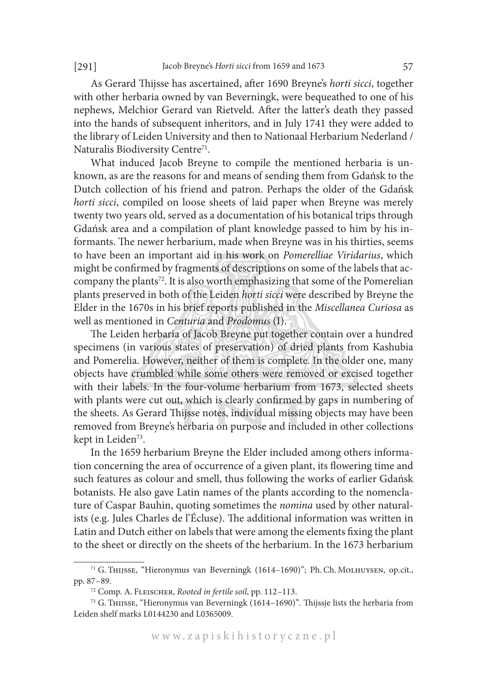As Gerard Thijsse has ascertained, after 1690 Breyne's *horti sicci*, together with other herbaria owned by van Beverningk, were bequeathed to one of his nephews, Melchior Gerard van Rietveld. After the latter's death they passed into the hands of subsequent inheritors, and in July 1741 they were added to the library of Leiden University and then to Nationaal Herbarium Nederland / Naturalis Biodiversity Centre<sup>71</sup>.

What induced Jacob Breyne to compile the mentioned herbaria is unknown, as are the reasons for and means of sending them from Gdańsk to the Dutch collection of his friend and patron. Perhaps the older of the Gdańsk *horti sicci*, compiled on loose sheets of laid paper when Breyne was merely twenty two years old, served as a documentation of his botanical trips through Gdańsk area and a compilation of plant knowledge passed to him by his informants. The newer herbarium, made when Breyne was in his thirties, seems to have been an important aid in his work on *Pomerelliae Viridarius*, which might be confirmed by fragments of descriptions on some of the labels that accompany the plants<sup>72</sup>. It is also worth emphasizing that some of the Pomerelian plants preserved in both of the Leiden *horti sicci* were described by Breyne the Elder in the 1670s in his brief reports published in the *Miscellanea Curiosa* as well as mentioned in *Centuria* and *Prodomus* (I).

The Leiden herbaria of Jacob Breyne put together contain over a hundred specimens (in various states of preservation) of dried plants from Kashubia and Pomerelia. However, neither of them is complete. In the older one, many objects have crumbled while some others were removed or excised together with their labels. In the four-volume herbarium from 1673, selected sheets with plants were cut out, which is clearly confirmed by gaps in numbering of the sheets. As Gerard Thijsse notes, individual missing objects may have been removed from Breyne's herbaria on purpose and included in other collections kept in Leiden<sup>73</sup>.

In the 1659 herbarium Breyne the Elder included among others information concerning the area of occurrence of a given plant, its flowering time and such features as colour and smell, thus following the works of earlier Gdańsk botanists. He also gave Latin names of the plants according to the nomenclature of Caspar Bauhin, quoting sometimes the *nomina* used by other naturalists (e.g. Jules Charles de l'Écluse). The additional information was written in Latin and Dutch either on labels that were among the elements fixing the plant to the sheet or directly on the sheets of the herbarium. In the 1673 herbarium

<sup>71</sup> G. Thijsse, "Hieronymus van Beverningk (1614–1690)"; Ph.Ch. Molhuysen, op.cit., pp. 87–89.

<sup>72</sup> Comp. A. Fleischer, *Rooted in fertile soil*, pp. 112–113.

<sup>73</sup> G. Thijsse, "Hieronymus van Beverningk (1614–1690)"*.* Thijssje lists the herbaria from Leiden shelf marks L0144230 and L0365009.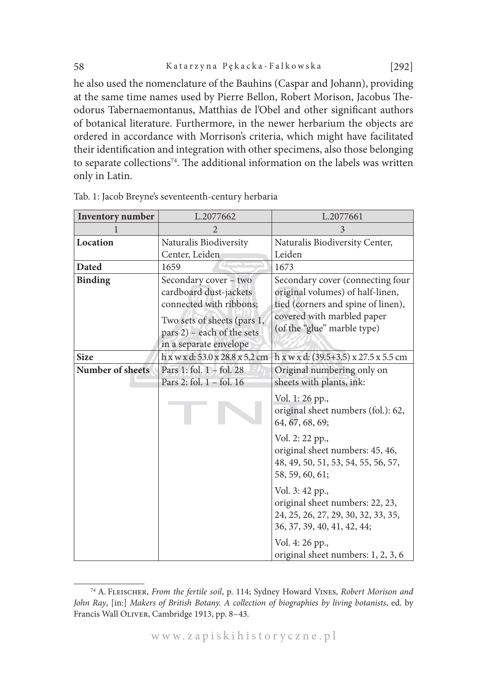he also used the nomenclature of the Bauhins (Caspar and Johann), providing at the same time names used by Pierre Bellon, Robert Morison, Jacobus Theodorus Tabernaemontanus, Matthias de l'Obel and other significant authors of botanical literature. Furthermore, in the newer herbarium the objects are ordered in accordance with Morrison's criteria, which might have facilitated their identification and integration with other specimens, also those belonging to separate collections<sup>74</sup>. The additional information on the labels was written only in Latin.

| <b>Inventory</b> number | L.2077662                                                                                                                                                         | L.2077661                                                                                                                                                               |
|-------------------------|-------------------------------------------------------------------------------------------------------------------------------------------------------------------|-------------------------------------------------------------------------------------------------------------------------------------------------------------------------|
| 1                       | 2                                                                                                                                                                 | 3                                                                                                                                                                       |
| Location                | Naturalis Biodiversity<br>Center, Leiden                                                                                                                          | Naturalis Biodiversity Center,<br>Leiden                                                                                                                                |
| <b>Dated</b>            | 1659                                                                                                                                                              | 1673                                                                                                                                                                    |
| <b>Binding</b>          | Secondary cover - two<br>cardboard dust-jackets<br>connected with ribbons;<br>Two sets of sheets (pars 1,<br>pars 2) – each of the sets<br>in a separate envelope | Secondary cover (connecting four<br>original volumes) of half-linen,<br>tied (corners and spine of linen),<br>covered with marbled paper<br>(of the "glue" marble type) |
| <b>Size</b>             | h x w x d: 53.0 x 28.8 x 5.2 cm                                                                                                                                   | $h x w x d: (39.5+3.5) x 27.5 x 5.5 cm$                                                                                                                                 |
| <b>Number of sheets</b> | Pars 1: fol. $1 -$ fol. 28<br>Pars 2: fol. 1 - fol. 16                                                                                                            | Original numbering only on<br>sheets with plants, ink:                                                                                                                  |
|                         |                                                                                                                                                                   | Vol. 1: 26 pp.,<br>original sheet numbers (fol.): 62,<br>64, 67, 68, 69;                                                                                                |
|                         |                                                                                                                                                                   | Vol. 2: 22 pp.,<br>original sheet numbers: 45, 46,<br>48, 49, 50, 51, 53, 54, 55, 56, 57,<br>58, 59, 60, 61;                                                            |
|                         |                                                                                                                                                                   | Vol. 3: 42 pp.,<br>original sheet numbers: 22, 23,<br>24, 25, 26, 27, 29, 30, 32, 33, 35,<br>36, 37, 39, 40, 41, 42, 44;                                                |
|                         |                                                                                                                                                                   | Vol. 4: 26 pp.,<br>original sheet numbers: 1, 2, 3, 6                                                                                                                   |

Tab. 1: Jacob Breyne's seventeenth-century herbaria

<sup>74</sup> A. Fleischer, *From the fertile soil*, p. 114; Sydney Howard Vines, *Robert Morison and John Ray*, [in:] *Makers of British Botany. A collection of biographies by living botanists*, ed. by Francis Wall Oliver, Cambridge 1913, pp. 8–43.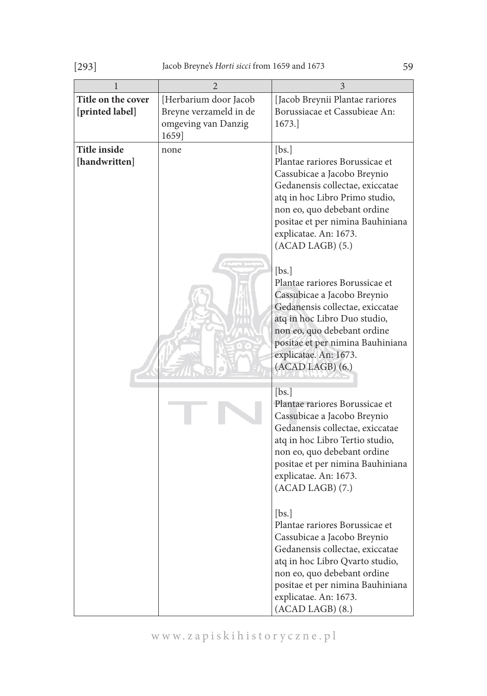| 1                                     | $\overline{2}$                                                                  | 3                                                                                                                                                                                                                                                                |
|---------------------------------------|---------------------------------------------------------------------------------|------------------------------------------------------------------------------------------------------------------------------------------------------------------------------------------------------------------------------------------------------------------|
| Title on the cover<br>[printed label] | [Herbarium door Jacob<br>Breyne verzameld in de<br>omgeving van Danzig<br>1659] | [Jacob Breynii Plantae rariores<br>Borussiacae et Cassubieae An:<br>1673.                                                                                                                                                                                        |
| <b>Title inside</b><br>[handwritten]  | none                                                                            | [bs.]<br>Plantae rariores Borussicae et<br>Cassubicae a Jacobo Breynio<br>Gedanensis collectae, exiccatae<br>atq in hoc Libro Primo studio,<br>non eo, quo debebant ordine<br>positae et per nimina Bauhiniana<br>explicatae. An: 1673.<br>$(ACAD LAGB)$ $(5.)$  |
|                                       |                                                                                 | [bs.]<br>Plantae rariores Borussicae et<br>Cassubicae a Jacobo Breynio<br>Gedanensis collectae, exiccatae<br>atq in hoc Libro Duo studio,<br>non eo, quo debebant ordine<br>positae et per nimina Bauhiniana<br>explicatae. An: 1673.<br>(ACAD LAGB) (6.)        |
|                                       |                                                                                 | [bs.]<br>Plantae rariores Borussicae et<br>Cassubicae a Jacobo Breynio<br>Gedanensis collectae, exiccatae<br>atq in hoc Libro Tertio studio,<br>non eo, quo debebant ordine<br>positae et per nimina Bauhiniana<br>explicatae. An: 1673.<br>$(ACAD LAGB)$ $(7.)$ |
|                                       |                                                                                 | [bs.]<br>Plantae rariores Borussicae et<br>Cassubicae a Jacobo Breynio<br>Gedanensis collectae, exiccatae<br>atq in hoc Libro Qvarto studio,<br>non eo, quo debebant ordine<br>positae et per nimina Bauhiniana<br>explicatae. An: 1673.<br>$(ACAD LAGB)$ $(8.)$ |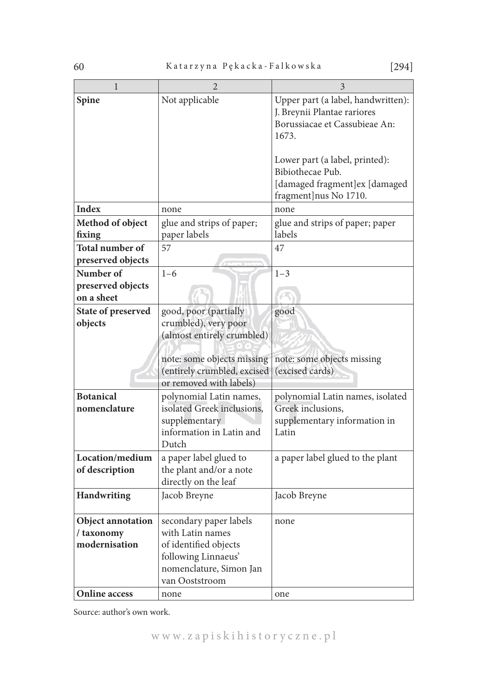| $\mathbf{1}$                      | $\overline{2}$                                    | 3                                                                 |
|-----------------------------------|---------------------------------------------------|-------------------------------------------------------------------|
| Spine                             | Not applicable                                    | Upper part (a label, handwritten):<br>J. Breynii Plantae rariores |
|                                   |                                                   | Borussiacae et Cassubieae An:                                     |
|                                   |                                                   | 1673.                                                             |
|                                   |                                                   |                                                                   |
|                                   |                                                   | Lower part (a label, printed):                                    |
|                                   |                                                   | Bibiothecae Pub.                                                  |
|                                   |                                                   | [damaged fragment]ex [damaged                                     |
|                                   |                                                   | fragment]nus No 1710.                                             |
| <b>Index</b>                      | none                                              | none                                                              |
| Method of object                  | glue and strips of paper;                         | glue and strips of paper; paper                                   |
| fixing                            | paper labels                                      | labels                                                            |
| Total number of                   | 57                                                | 47                                                                |
| preserved objects                 |                                                   |                                                                   |
| Number of                         | $1 - 6$                                           | $1 - 3$                                                           |
| preserved objects<br>on a sheet   |                                                   |                                                                   |
| State of preserved                | good, poor (partially                             |                                                                   |
| objects                           | crumbled), very poor                              | good                                                              |
|                                   | (almost entirely crumbled)                        |                                                                   |
|                                   |                                                   |                                                                   |
|                                   | note: some objects missing                        | note: some objects missing                                        |
|                                   | (entirely crumbled, excised                       | (excised cards)                                                   |
|                                   | or removed with labels)                           |                                                                   |
| <b>Botanical</b>                  | polynomial Latin names,                           | polynomial Latin names, isolated                                  |
| nomenclature                      | isolated Greek inclusions,                        | Greek inclusions,                                                 |
|                                   | supplementary                                     | supplementary information in                                      |
|                                   | information in Latin and                          | Latin                                                             |
|                                   | Dutch                                             |                                                                   |
| Location/medium<br>of description | a paper label glued to<br>the plant and/or a note | a paper label glued to the plant                                  |
|                                   | directly on the leaf                              |                                                                   |
| Handwriting                       | Jacob Breyne                                      | Jacob Breyne                                                      |
|                                   |                                                   |                                                                   |
| Object annotation                 | secondary paper labels                            | none                                                              |
| / taxonomy                        | with Latin names                                  |                                                                   |
| modernisation                     | of identified objects                             |                                                                   |
|                                   | following Linnaeus'                               |                                                                   |
|                                   | nomenclature, Simon Jan                           |                                                                   |
|                                   | van Ooststroom                                    |                                                                   |
| <b>Online access</b>              | none                                              | one                                                               |

Source: author's own work.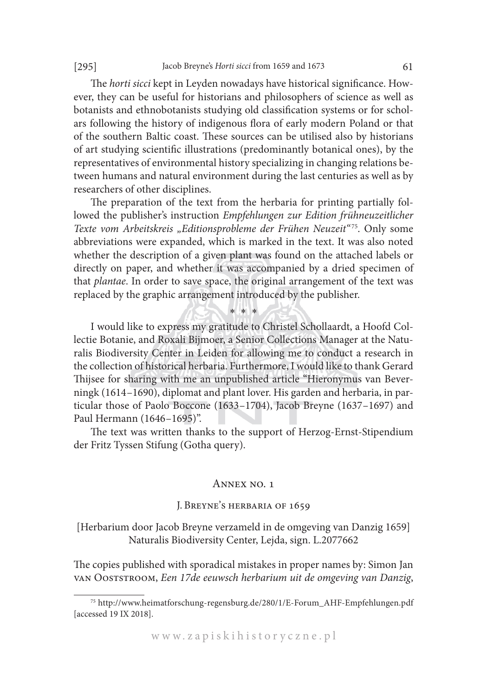The *horti sicci* kept in Leyden nowadays have historical significance. However, they can be useful for historians and philosophers of science as well as botanists and ethnobotanists studying old classification systems or for scholars following the history of indigenous flora of early modern Poland or that of the southern Baltic coast. These sources can be utilised also by historians of art studying scientific illustrations (predominantly botanical ones), by the representatives of environmental history specializing in changing relations between humans and natural environment during the last centuries as well as by researchers of other disciplines.

The preparation of the text from the herbaria for printing partially followed the publisher's instruction *Empfehlungen zur Edition frühneuzeitlicher*  Texte vom Arbeitskreis "Editionsprobleme der Frühen Neuzeit"<sup>75</sup>. Only some abbreviations were expanded, which is marked in the text. It was also noted whether the description of a given plant was found on the attached labels or directly on paper, and whether it was accompanied by a dried specimen of that *plantae*. In order to save space, the original arrangement of the text was replaced by the graphic arrangement introduced by the publisher.

\* \* \* I would like to express my gratitude to Christel Schollaardt, a Hoofd Collectie Botanie, and Roxali Bijmoer, a Senior Collections Manager at the Naturalis Biodiversity Center in Leiden for allowing me to conduct a research in the collection of historical herbaria. Furthermore, I would like to thank Gerard Thijsee for sharing with me an unpublished article "Hieronymus van Beverningk (1614–1690), diplomat and plant lover. His garden and herbaria, in particular those of Paolo Boccone (1633–1704), Jacob Breyne (1637–1697) and Paul Hermann (1646–1695)".

The text was written thanks to the support of Herzog-Ernst-Stipendium der Fritz Tyssen Stifung (Gotha query).

#### Annex no. 1

#### J. Breyne's herbaria of 1659

[Herbarium door Jacob Breyne verzameld in de omgeving van Danzig 1659] Naturalis Biodiversity Center, Lejda, sign. L.2077662

The copies published with sporadical mistakes in proper names by: Simon Jan van Ooststroom, *Een 17de eeuwsch herbarium uit de omgeving van Danzig*,

<sup>75</sup> http://www.heimatforschung-regensburg.de/280/1/E-Forum\_AHF-Empfehlungen.pdf [accessed 19 IX 2018].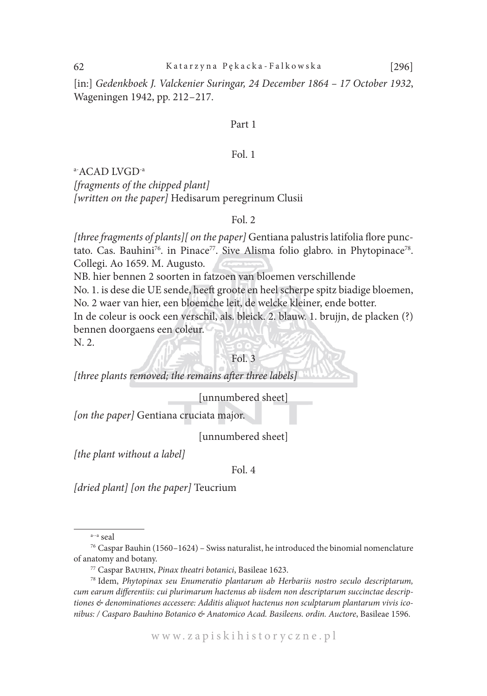[in:] *Gedenkboek J. Valckenier Suringar, 24 December 1864 – 17 October 1932*, Wageningen 1942, pp. 212–217.

#### Part 1

#### Fol. 1

a-ACAD LVGD-a

*[fragments of the chipped plant] [written on the paper]* Hedisarum peregrinum Clusii

# Fol. 2

*[three fragments of plants][ on the paper]* Gentiana palustris latifolia flore punctato. Cas. Bauhini<sup>76</sup>. in Pinace<sup>77</sup>. Sive Alisma folio glabro. in Phytopinace<sup>78</sup>. Collegi. Ao 1659. M. Augusto.

NB. hier bennen 2 soorten in fatzoen van bloemen verschillende No. 1. is dese die UE sende, heeft groote en heel scherpe spitz biadige bloemen, No. 2 waer van hier, een bloemche leit, de welcke kleiner, ende botter. In de coleur is oock een verschil, als. bleick. 2. blauw. 1. brujjn, de placken (?) bennen doorgaens een coleur. N. 2.

#### Fol. 3

*[three plants removed; the remains after three labels]*

[unnumbered sheet]

*[on the paper]* Gentiana cruciata major.

[unnumbered sheet]

*[the plant without a label]*

Fol. 4

*[dried plant] [on the paper]* Teucrium

a--a seal

<sup>&</sup>lt;sup>76</sup> Caspar Bauhin (1560–1624) – Swiss naturalist, he introduced the binomial nomenclature of anatomy and botany. 77 Caspar Bauhin, *Pinax theatri botanici*, Basileae 1623.

<sup>78</sup> Idem, *Phytopinax seu Enumeratio plantarum ab Herbariis nostro seculo descriptarum, cum earum differentiis: cui plurimarum hactenus ab iisdem non descriptarum succinctae descriptiones & denominationes accessere: Additis aliquot hactenus non sculptarum plantarum vivis iconibus: / Casparo Bauhino Botanico & Anatomico Acad. Basileens. ordin. Auctore*, Basileae 1596.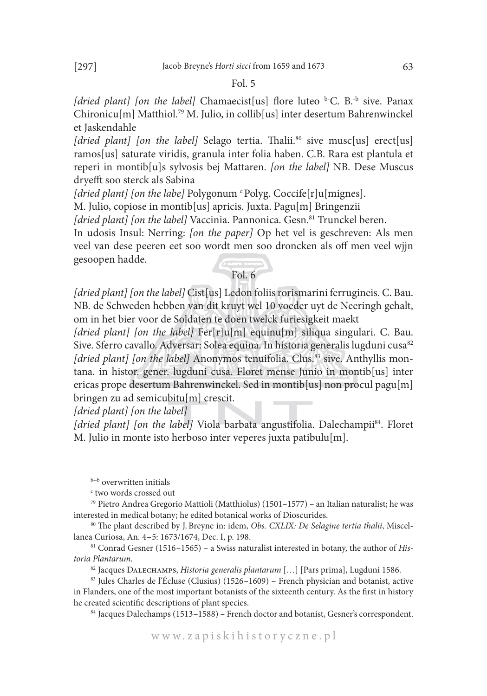*[dried plant] [on the label]* Chamaecist[us] flore luteo <sup>b-</sup>C. B.<sup>-b</sup> sive. Panax Chironicu[m] Matthiol.79 M. Julio, in collib[us] inter desertum Bahrenwinckel et Jaskendahle

[dried plant] [on the label] Selago tertia. Thalii.<sup>80</sup> sive musc[us] erect[us] ramos[us] saturate viridis, granula inter folia haben. C.B. Rara est plantula et reperi in montib[u]s sylvosis bej Mattaren. *[on the label]* NB. Dese Muscus dryefft soo sterck als Sabina

[dried plant] [on the labe] Polygonum <sup>c</sup> Polyg. Coccife[r]u[mignes].

M. Julio, copiose in montib[us] apricis. Juxta. Pagu[m] Bringenzii

[dried plant] [on the label] Vaccinia. Pannonica. Gesn.<sup>81</sup> Trunckel beren.

In udosis Insul: Nerring: *[on the paper]* Op het vel is geschreven: Als men veel van dese peeren eet soo wordt men soo droncken als off men veel wjjn gesoopen hadde. Fol. 6

*[dried plant] [on the label]* Cist[us] Ledon foliis rorismarini ferrugineis. C. Bau. NB. de Schweden hebben van dit kruyt wel 10 voeder uyt de Neeringh gehalt, om in het bier voor de Soldaten te doen twelck furiesigkeit maekt

*[dried plant] [on the label]* Fer[r]u[m] equinu[m] siliqua singulari. C. Bau. Sive. Sferro cavallo. Adversar: Solea equina. In historia generalis lugduni cusa<sup>82</sup> *[dried plant] [on the label]* Anonymos tenuifolia. Clus.<sup>83</sup> sive. Anthyllis montana. in histor. gener. lugduni cusa. Floret mense Junio in montib[us] inter ericas prope desertum Bahrenwinckel. Sed in montib[us] non procul pagu[m] bringen zu ad semicubitu[m] crescit.

*[dried plant] [on the label]*

*[dried plant] [on the label]* Viola barbata angustifolia. Dalechampii<sup>84</sup>. Floret M. Julio in monte isto herboso inter veperes juxta patibulu[m].

<sup>84</sup> Jacques Dalechamps (1513–1588) – French doctor and botanist, Gesner's correspondent.

b--b overwritten initials

c two words crossed out

<sup>79</sup> Pietro Andrea Gregorio Mattioli (Matthiolus) (1501–1577) – an Italian naturalist; he was interested in medical botany; he edited botanical works of Dioscurides. 80 The plant described by J. Breyne in: idem, *Obs. CXLIX: De Selagine tertia thalii*, Miscel-

lanea Curiosa, An. 4–5: 1673/1674, Dec. I, p. 198.

<sup>81</sup> Conrad Gesner (1516–1565) – a Swiss naturalist interested in botany, the author of *Historia Plantarum*.

<sup>82</sup> Jacques Dalechamps, *Historia generalis plantarum* […] [Pars prima], Lugduni 1586.

<sup>83</sup> Jules Charles de l'Écluse (Clusius) (1526–1609) – French physician and botanist, active in Flanders, one of the most important botanists of the sixteenth century. As the first in history he created scientific descriptions of plant species.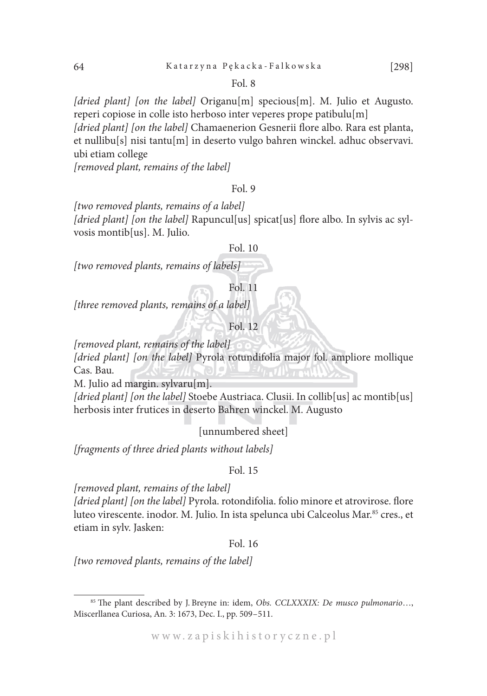*[dried plant] [on the label]* Origanu[m] specious[m]. M. Julio et Augusto. reperi copiose in colle isto herboso inter veperes prope patibulu[m]

*[dried plant] [on the label]* Chamaenerion Gesnerii flore albo. Rara est planta, et nullibu[s] nisi tantu[m] in deserto vulgo bahren winckel. adhuc observavi. ubi etiam college

*[removed plant, remains of the label]*

#### Fol. 9

*[two removed plants, remains of a label] [dried plant] [on the label]* Rapuncul[us] spicat[us] flore albo. In sylvis ac sylvosis montib[us]. M. Julio.

#### Fol. 10

*[two removed plants, remains of labels]*

Fol. 11

*[three removed plants, remains of a label]*

Fol. 12

*[removed plant, remains of the label]*

*[dried plant] [on the label]* Pyrola rotundifolia major fol. ampliore mollique Cas. Bau.

M. Julio ad margin. sylvaru[m].

[dried plant] [on the label] Stoebe Austriaca. Clusii. In collib<sup>[us]</sup> ac montib<sup>[us]</sup> herbosis inter frutices in deserto Bahren winckel. M. Augusto

[unnumbered sheet]

*[fragments of three dried plants without labels]*

#### Fol. 15

*[removed plant, remains of the label]*

*[dried plant] [on the label]* Pyrola. rotondifolia. folio minore et atrovirose. flore luteo virescente. inodor. M. Julio. In ista spelunca ubi Calceolus Mar.<sup>85</sup> cres., et etiam in sylv. Jasken:

#### Fol. 16

*[two removed plants, remains of the label]*

<sup>85</sup> The plant described by J. Breyne in: idem, *Obs. CCLXXXIX: De musco pulmonario*…, Miscerllanea Curiosa, An. 3: 1673, Dec. I., pp. 509–511.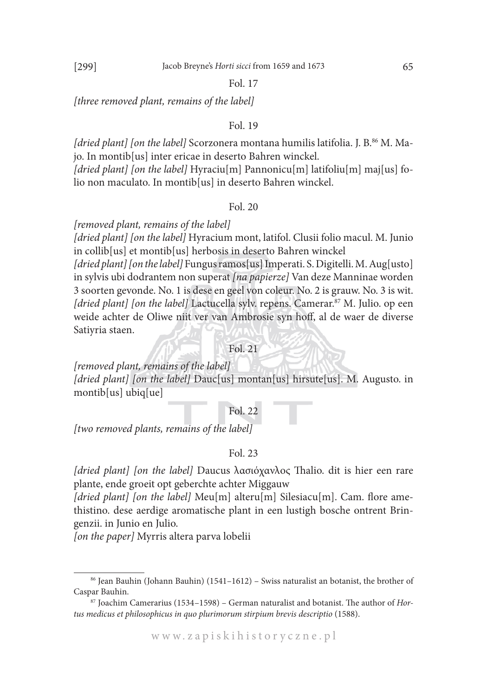*[three removed plant, remains of the label]*

#### Fol. 19

*[dried plant] [on the label]* Scorzonera montana humilis latifolia. J. B.<sup>86</sup> M. Majo. In montib[us] inter ericae in deserto Bahren winckel.

*[dried plant] [on the label]* Hyraciu[m] Pannonicu[m] latifoliu[m] maj[us] folio non maculato. In montib[us] in deserto Bahren winckel.

#### Fol. 20

*[removed plant, remains of the label]*

*[dried plant] [on the label]* Hyracium mont, latifol. Clusii folio macul. M. Junio in collib[us] et montib[us] herbosis in deserto Bahren winckel

*[dried plant] [on the label]* Fungus ramos[us] Imperati. S. Digitelli. M. Aug[usto] in sylvis ubi dodrantem non superat *[na papierze]* Van deze Manninae worden 3 soorten gevonde. No. 1 is dese en geel von coleur. No. 2 is grauw. No. 3 is wit. [dried plant] [on the label] Lactucella sylv. repens. Camerar.<sup>87</sup> M. Julio. op een weide achter de Oliwe niit ver van Ambrosie syn hoff, al de waer de diverse Satiyria staen.

Fol. 21

*[removed plant, remains of the label] [dried plant] [on the label]* Dauc[us] montan[us] hirsute[us]. M. Augusto. in montib[us] ubiq[ue]

#### Fol. 22

*[two removed plants, remains of the label]*

#### Fol. 23

*[dried plant] [on the label]* Daucus λασιόχανλος Thalio. dit is hier een rare plante, ende groeit opt geberchte achter Miggauw

*[dried plant] [on the label]* Meu[m] alteru[m] Silesiacu[m]. Cam. flore amethistino. dese aerdige aromatische plant in een lustigh bosche ontrent Bringenzii. in Junio en Julio.

*[on the paper]* Myrris altera parva lobelii

 $86$  Jean Bauhin (Johann Bauhin) (1541–1612) – Swiss naturalist an botanist, the brother of Caspar Bauhin.

<sup>87</sup> Joachim Camerarius (1534–1598) – German naturalist and botanist. The author of *Hortus medicus et philosophicus in quo plurimorum stirpium brevis descriptio* (1588).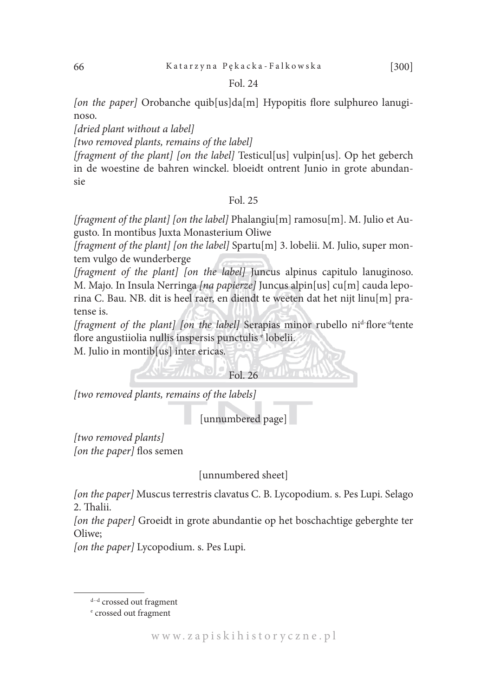*[on the paper]* Orobanche quib[us]da[m] Hypopitis flore sulphureo lanuginoso.

*[dried plant without a label]*

*[two removed plants, remains of the label]*

*[fragment of the plant] [on the label]* Testicul[us] vulpin[us]. Op het geberch in de woestine de bahren winckel. bloeidt ontrent Junio in grote abundansie

# Fol. 25

*[fragment of the plant] [on the label]* Phalangiu[m] ramosu[m]. M. Julio et Augusto. In montibus Juxta Monasterium Oliwe

*[fragment of the plant] [on the label]* Spartu[m] 3. lobelii. M. Julio, super montem vulgo de wunderberge

*[fragment of the plant] [on the label]* Juncus alpinus capitulo lanuginoso. M. Majo. In Insula Nerringa *[na papierze]* Juncus alpin[us] cu[m] cauda leporina C. Bau. NB. dit is heel raer, en diendt te weeten dat het nijt linu[m] pratense is.

*[fragment of the plant] [on the label]* Serapias minor rubello ni<sup>d-</sup>flore<sup>-d</sup>tente flore angustiiolia nullis inspersis punctulis e lobelii.

 $Fol. 26$ 

M. Julio in montib[us] inter ericas.

*[two removed plants, remains of the labels]*

[unnumbered page]

*[two removed plants] [on the paper]* flos semen

[unnumbered sheet]

*[on the paper]* Muscus terrestris clavatus C. B. Lycopodium. s. Pes Lupi. Selago 2. Thalii.

*[on the paper]* Groeidt in grote abundantie op het boschachtige geberghte ter Oliwe;

*[on the paper]* Lycopodium. s. Pes Lupi.

d--d crossed out fragment

e crossed out fragment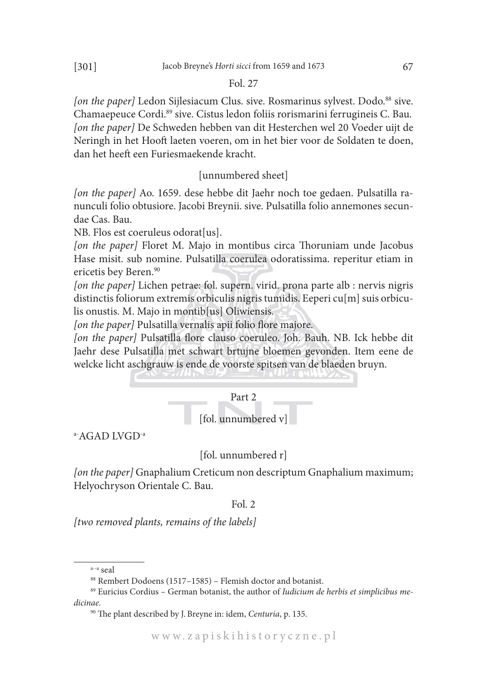[on the paper] Ledon Sijlesiacum Clus. sive. Rosmarinus sylvest. Dodo.<sup>88</sup> sive. Chamaepeuce Cordi.89 sive. Cistus ledon foliis rorismarini ferrugineis C. Bau. *[on the paper]* De Schweden hebben van dit Hesterchen wel 20 Voeder uijt de Neringh in het Hooft laeten voeren, om in het bier voor de Soldaten te doen, dan het heeft een Furiesmaekende kracht.

# [unnumbered sheet]

*[on the paper]* Ao. 1659. dese hebbe dit Jaehr noch toe gedaen. Pulsatilla ranunculi folio obtusiore. Jacobi Breynii. sive. Pulsatilla folio annemones secundae Cas. Bau.

NB. Flos est coeruleus odorat[us].

*[on the paper]* Floret M. Majo in montibus circa Thoruniam unde Jacobus Hase misit. sub nomine. Pulsatilla coerulea odoratissima. reperitur etiam in ericetis bey Beren.<sup>90</sup>

*[on the paper]* Lichen petrae: fol. supern. virid. prona parte alb : nervis nigris distinctis foliorum extremis orbiculis nigris tumidis. Eeperi cu[m] suis orbiculis onustis. M. Majo in montib[us] Oliwiensis.

*[on the paper]* Pulsatilla vernalis apii folio flore majore.

*[on the paper]* Pulsatilla flore clauso coeruleo. Joh. Bauh. NB. Ick hebbe dit Jaehr dese Pulsatilla met schwart brtujne bloemen gevonden. Item eene de welcke licht aschgrauw is ende de voorste spitsen van de blaeden bruyn.



a-AGAD LVGD-a

# [fol. unnumbered r]

*[on the paper]* Gnaphalium Creticum non descriptum Gnaphalium maximum; Helyochryson Orientale C. Bau.

#### Fol. 2

*[two removed plants, remains of the labels]*

a--a seal

<sup>88</sup> Rembert Dodoens (1517–1585) – Flemish doctor and botanist.

<sup>89</sup> Euricius Cordius – German botanist, the author of *Iudicium de herbis et simplicibus medicinae.*

<sup>90</sup> The plant described by J. Breyne in: idem, *Centuria*, p. 135.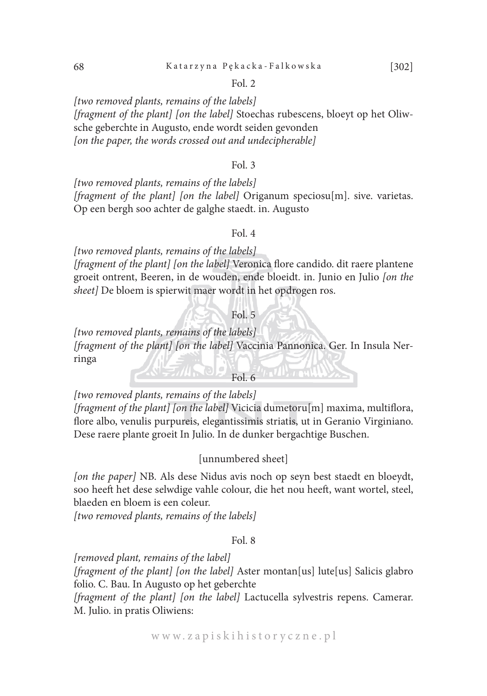#### 68 Katarzyna Pękacka-Falkowska [302]

#### Fol. 2

*[two removed plants, remains of the labels] [fragment of the plant] [on the label]* Stoechas rubescens, bloeyt op het Oliwsche geberchte in Augusto, ende wordt seiden gevonden *[on the paper, the words crossed out and undecipherable]*

#### Fol. 3

*[two removed plants, remains of the labels] [fragment of the plant] [on the label]* Origanum speciosu[m]. sive. varietas. Op een bergh soo achter de galghe staedt. in. Augusto

# Fol. 4

*[two removed plants, remains of the labels] [fragment of the plant] [on the label]* Veronica flore candido. dit raere plantene groeit ontrent, Beeren, in de wouden, ende bloeidt. in. Junio en Julio *[on the sheet]* De bloem is spierwit maer wordt in het opdrogen ros.

# Fol. 5

*[two removed plants, remains of the labels] [fragment of the plant] [on the label]* Vaccinia Pannonica. Ger. In Insula Nerringa  $F_0$   $F_0$   $F_0$   $F_1$ 

*[two removed plants, remains of the labels]*

*[fragment of the plant] [on the label]* Vicicia dumetoru[m] maxima, multiflora, flore albo, venulis purpureis, elegantissimis striatis, ut in Geranio Virginiano. Dese raere plante groeit In Julio. In de dunker bergachtige Buschen.

#### [unnumbered sheet]

*[on the paper]* NB. Als dese Nidus avis noch op seyn best staedt en bloeydt, soo heeft het dese selwdige vahle colour, die het nou heeft, want wortel, steel, blaeden en bloem is een coleur.

*[two removed plants, remains of the labels]*

# Fol. 8

*[removed plant, remains of the label]*

*[fragment of the plant] [on the label]* Aster montan[us] lute[us] Salicis glabro folio. C. Bau. In Augusto op het geberchte

*[fragment of the plant] [on the label]* Lactucella sylvestris repens. Camerar. M. Julio. in pratis Oliwiens: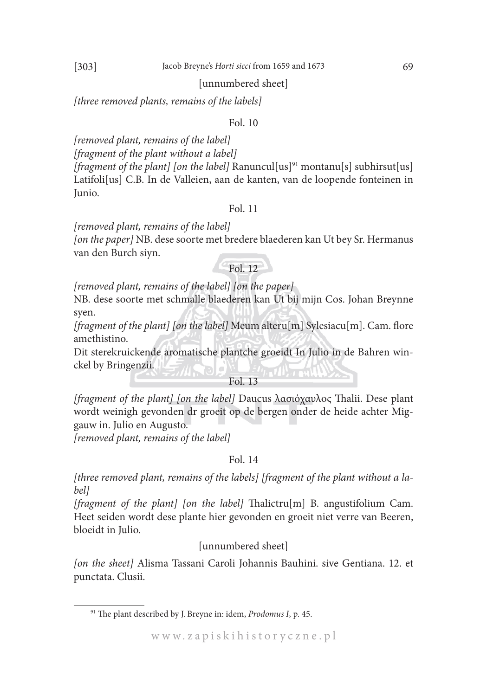#### [303] Jacob Breyne's *Horti sicci* from 1659 and 1673 69

#### [unnumbered sheet]

*[three removed plants, remains of the labels]*

#### Fol. 10

*[removed plant, remains of the label] [fragment of the plant without a label] [fragment of the plant] [on the label]* Ranuncul[us]<sup>91</sup> montanu[s] subhirsut[us] Latifoli[us] C.B. In de Valleien, aan de kanten, van de loopende fonteinen in Junio.

#### Fol. 11

*[removed plant, remains of the label]*

*[on the paper]* NB. dese soorte met bredere blaederen kan Ut bey Sr. Hermanus van den Burch siyn.

# Fol. 12

*[removed plant, remains of the label] [on the paper]*

NB. dese soorte met schmalle blaederen kan Ut bij mijn Cos. Johan Breynne syen.

*[fragment of the plant] [on the label]* Meum alteru[m] Sylesiacu[m]. Cam. flore amethistino.

Dit sterekruickende aromatische plantche groeidt In Julio in de Bahren winckel by Bringenzii.

# Fol. 13

*[fragment of the plant] [on the label]* Daucus λασιόχαυλος Thalii. Dese plant wordt weinigh gevonden dr groeit op de bergen onder de heide achter Miggauw in. Julio en Augusto.

*[removed plant, remains of the label]*

#### Fol. 14

*[three removed plant, remains of the labels] [fragment of the plant without a label]*

*[fragment of the plant] [on the label]* Thalictru[m] B. angustifolium Cam. Heet seiden wordt dese plante hier gevonden en groeit niet verre van Beeren, bloeidt in Julio.

# [unnumbered sheet]

*[on the sheet]* Alisma Tassani Caroli Johannis Bauhini. sive Gentiana. 12. et punctata. Clusii.

<sup>91</sup> The plant described by J. Breyne in: idem, *Prodomus I*, p. 45.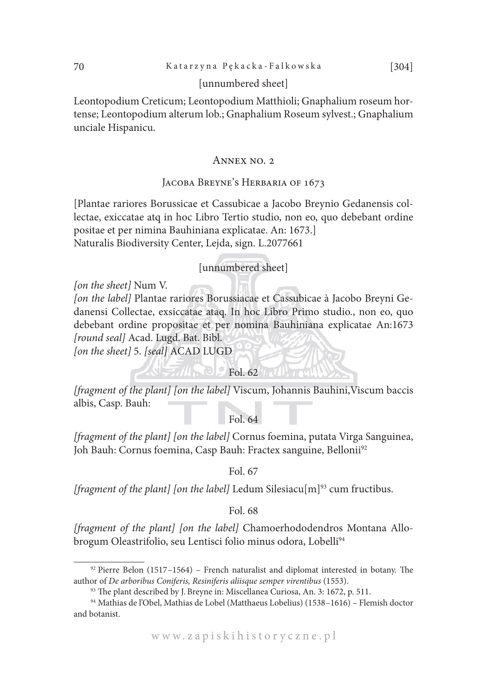# [unnumbered sheet]

Leontopodium Creticum; Leontopodium Matthioli; Gnaphalium roseum hortense; Leontopodium alterum lob.; Gnaphalium Roseum sylvest.; Gnaphalium unciale Hispanicu.

#### ANNEX NO. 2

# JACOBA BREYNE'S HERBARIA OF 1673

[Plantae rariores Borussicae et Cassubicae a Jacobo Breynio Gedanensis collectae, exiccatae atq in hoc Libro Tertio studio, non eo, quo debebant ordine positae et per nimina Bauhiniana explicatae. An: 1673.] Naturalis Biodiversity Center, Lejda, sign. L.2077661

#### [unnumbered sheet]

*[on the sheet]* Num V. *[on the label]* Plantae rariores Borussiacae et Cassubicae à Jacobo Breyni Gedanensi Collectae, exsiccatae ataq. In hoc Libro Primo studio., non eo, quo debebant ordine propositae et per nomina Bauhiniana explicatae An:1673 *[round seal]* Acad. Lugd. Bat. Bibl. *[on the sheet]* 5. *[seal]* ACAD LUGD

*[fragment of the plant] [on the label]* Viscum, Johannis Bauhini,Viscum baccis albis, Casp. Bauh:

 $\bigcirc$  Fol. 62

Fol. 64

*[fragment of the plant] [on the label]* Cornus foemina, putata Virga Sanguinea, Joh Bauh: Cornus foemina, Casp Bauh: Fractex sanguine, Bellonii<sup>92</sup>

Fol. 67

*[fragment of the plant] [on the label]* Ledum Silesiacu[m]<sup>93</sup> cum fructibus.

Fol. 68

*[fragment of the plant] [on the label]* Chamoerhododendros Montana Allobrogum Oleastrifolio, seu Lentisci folio minus odora, Lobelli<sup>94</sup>

 $92$  Pierre Belon (1517–1564) – French naturalist and diplomat interested in botany. The author of *De arboribus Coniferis, Resiniferis aliisque semper virentibus* (1553). 93 The plant described by J. Breyne in: Miscellanea Curiosa, An. 3: 1672, p. 511.

<sup>94</sup> Mathias de l'Obel, Mathias de Lobel (Matthaeus Lobelius) (1538–1616) – Flemish doctor and botanist.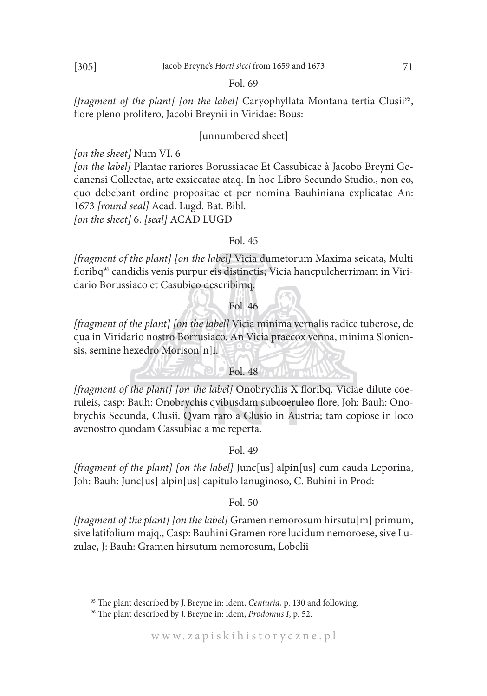*[fragment of the plant] [on the label]* Caryophyllata Montana tertia Clusii<sup>95</sup>, flore pleno prolifero, Jacobi Breynii in Viridae: Bous:

# [unnumbered sheet]

*[on the sheet]* Num VI. 6

*[on the label]* Plantae rariores Borussiacae Et Cassubicae à Jacobo Breyni Gedanensi Collectae, arte exsiccatae ataq. In hoc Libro Secundo Studio., non eo, quo debebant ordine propositae et per nomina Bauhiniana explicatae An: 1673 *[round seal]* Acad. Lugd. Bat. Bibl.

*[on the sheet]* 6. *[seal]* ACAD LUGD

# Fol. 45

*[fragment of the plant] [on the label]* Vicia dumetorum Maxima seicata, Multi floribq<sup>96</sup> candidis venis purpur eis distinctis; Vicia hancpulcherrimam in Viridario Borussiaco et Casubico describimq.

#### Fol. 46

*[fragment of the plant] [on the label]* Vicia minima vernalis radice tuberose, de qua in Viridario nostro Borrusiaco. An Vicia praecox venna, minima Sloniensis, semine hexedro Morison[n]i.

# Fol. 48

*[fragment of the plant] [on the label]* Onobrychis X floribq. Viciae dilute coeruleis, casp: Bauh: Onobrychis qvibusdam subcoeruleo flore, Joh: Bauh: Onobrychis Secunda, Clusii. Qvam raro a Clusio in Austria; tam copiose in loco avenostro quodam Cassubiae a me reperta.

# Fol. 49

*[fragment of the plant] [on the label]* Junc[us] alpin[us] cum cauda Leporina, Joh: Bauh: Junc[us] alpin[us] capitulo lanuginoso, C. Buhini in Prod:

#### Fol. 50

*[fragment of the plant] [on the label]* Gramen nemorosum hirsutu[m] primum, sive latifolium majq., Casp: Bauhini Gramen rore lucidum nemoroese, sive Luzulae, J: Bauh: Gramen hirsutum nemorosum, Lobelii

<sup>95</sup> The plant described by J. Breyne in: idem, *Centuria*, p. 130 and following.

<sup>96</sup> The plant described by J. Breyne in: idem, *Prodomus I*, p. 52.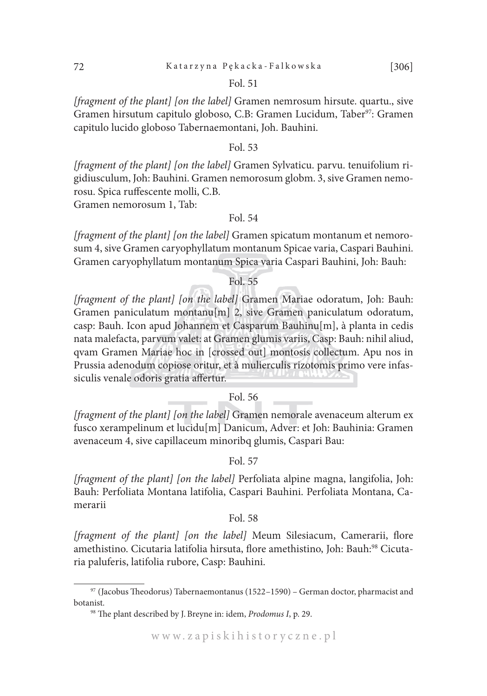*[fragment of the plant] [on the label]* Gramen nemrosum hirsute. quartu., sive Gramen hirsutum capitulo globoso, C.B: Gramen Lucidum, Taber<sup>97</sup>: Gramen capitulo lucido globoso Tabernaemontani, Joh. Bauhini.

#### Fol. 53

*[fragment of the plant] [on the label]* Gramen Sylvaticu. parvu. tenuifolium rigidiusculum, Joh: Bauhini. Gramen nemorosum globm. 3, sive Gramen nemorosu. Spica ruffescente molli, C.B.

Gramen nemorosum 1, Tab:

# Fol. 54

*[fragment of the plant] [on the label]* Gramen spicatum montanum et nemorosum 4, sive Gramen caryophyllatum montanum Spicae varia, Caspari Bauhini. Gramen caryophyllatum montanum Spica varia Caspari Bauhini, Joh: Bauh:

# Fol. 55

*[fragment of the plant] [on the label]* Gramen Mariae odoratum, Joh: Bauh: Gramen paniculatum montanu[m] 2, sive Gramen paniculatum odoratum, casp: Bauh. Icon apud Johannem et Casparum Bauhinu[m], à planta in cedis nata malefacta, parvum valet: at Gramen glumis variis, Casp: Bauh: nihil aliud, qvam Gramen Mariae hoc in [crossed out] montosis collectum. Apu nos in Prussia adenodum copiose oritur, et à mulierculis rizotomis primo vere infassiculis venale odoris gratia affertur.

#### Fol. 56

*[fragment of the plant] [on the label]* Gramen nemorale avenaceum alterum ex fusco xerampelinum et lucidu[m] Danicum, Adver: et Joh: Bauhinia: Gramen avenaceum 4, sive capillaceum minoribq glumis, Caspari Bau:

#### Fol. 57

*[fragment of the plant] [on the label]* Perfoliata alpine magna, langifolia, Joh: Bauh: Perfoliata Montana latifolia, Caspari Bauhini. Perfoliata Montana, Camerarii

#### Fol. 58

*[fragment of the plant] [on the label]* Meum Silesiacum, Camerarii, flore amethistino. Cicutaria latifolia hirsuta, flore amethistino, Joh: Bauh:<sup>98</sup> Cicutaria paluferis, latifolia rubore, Casp: Bauhini.

<sup>97</sup> (Jacobus Theodorus) Tabernaemontanus (1522–1590) – German doctor, pharmacist and botanist.

<sup>98</sup> The plant described by J. Breyne in: idem, *Prodomus I*, p. 29.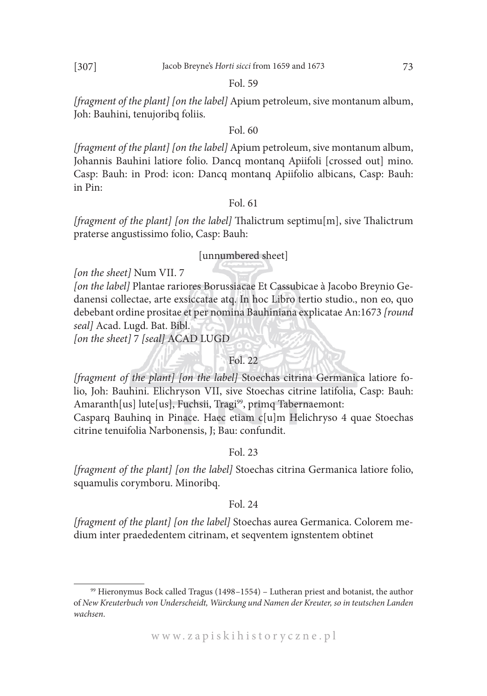*[fragment of the plant] [on the label]* Apium petroleum, sive montanum album, Joh: Bauhini, tenujoribq foliis.

# Fol. 60

*[fragment of the plant] [on the label]* Apium petroleum, sive montanum album, Johannis Bauhini latiore folio. Dancq montanq Apiifoli [crossed out] mino. Casp: Bauh: in Prod: icon: Dancq montanq Apiifolio albicans, Casp: Bauh: in Pin:

#### Fol. 61

*[fragment of the plant] [on the label]* Thalictrum septimu[m], sive Thalictrum praterse angustissimo folio, Casp: Bauh:

# [unnumbered sheet]

*[on the sheet]* Num VII. 7

*[on the label]* Plantae rariores Borussiacae Et Cassubicae à Jacobo Breynio Gedanensi collectae, arte exsiccatae atq. In hoc Libro tertio studio., non eo, quo debebant ordine prositae et per nomina Bauhiniana explicatae An:1673 *[round seal]* Acad. Lugd. Bat. Bibl.

*[on the sheet]* 7 *[seal]* ACAD LUGD

# Fol. 22

*[fragment of the plant] [on the label]* Stoechas citrina Germanica latiore folio, Joh: Bauhini. Elichryson VII, sive Stoechas citrine latifolia, Casp: Bauh: Amaranth[us] lute[us], Fuchsii, Tragi<sup>99</sup>, primq Tabernaemont:

Casparq Bauhinq in Pinace. Haec etiam c[u]m Helichryso 4 quae Stoechas citrine tenuifolia Narbonensis, J; Bau: confundit.

# Fol. 23

*[fragment of the plant] [on the label]* Stoechas citrina Germanica latiore folio, squamulis corymboru. Minoribq.

# Fol. 24

*[fragment of the plant] [on the label]* Stoechas aurea Germanica. Colorem medium inter praededentem citrinam, et seqventem ignstentem obtinet

<sup>99</sup> Hieronymus Bock called Tragus (1498–1554) – Lutheran priest and botanist, the author of *New Kreuterbuch von Underscheidt, Würckung und Namen der Kreuter, so in teutschen Landen wachsen*.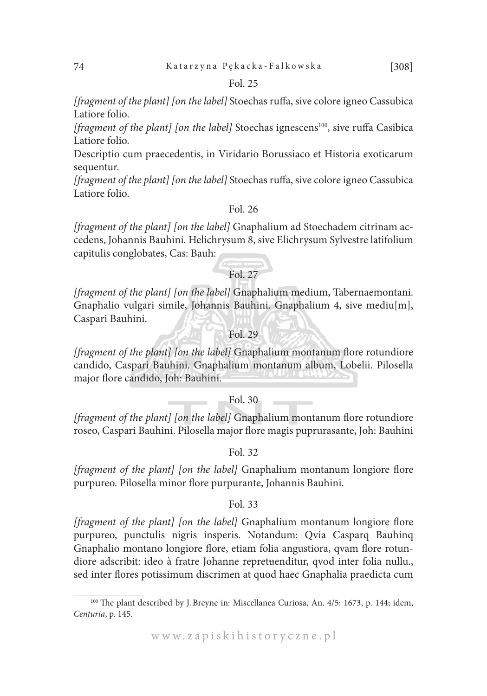*[fragment of the plant] [on the label]* Stoechas ruffa, sive colore igneo Cassubica Latiore folio.

*[fragment of the plant] [on the label]* Stoechas ignescens<sup>100</sup>, sive ruffa Casibica Latiore folio.

Descriptio cum praecedentis, in Viridario Borussiaco et Historia exoticarum sequentur.

*[fragment of the plant] [on the label]* Stoechas ruffa, sive colore igneo Cassubica Latiore folio.

# Fol. 26

*[fragment of the plant] [on the label]* Gnaphalium ad Stoechadem citrinam accedens, Johannis Bauhini. Helichrysum 8, sive Elichrysum Sylvestre latifolium capitulis conglobates, Cas: Bauh:

# $Fol. 27$

*[fragment of the plant] [on the label]* Gnaphalium medium, Tabernaemontani. Gnaphalio vulgari simile, Johannis Bauhini. Gnaphalium 4, sive mediu[m], Caspari Bauhini.

# Fol. 29

*[fragment of the plant] [on the label]* Gnaphalium montanum flore rotundiore candido, Caspari Bauhini. Gnaphalium montanum album, Lobelii. Pilosella major flore candido, Joh: Bauhini.

#### Fol. 30

*[fragment of the plant] [on the label]* Gnaphalium montanum flore rotundiore roseo, Caspari Bauhini. Pilosella major flore magis puprurasante, Joh: Bauhini

#### Fol. 32

*[fragment of the plant] [on the label]* Gnaphalium montanum longiore flore purpureo. Pilosella minor flore purpurante, Johannis Bauhini.

#### Fol. 33

*[fragment of the plant] [on the label]* Gnaphalium montanum longiore flore purpureo, punctulis nigris insperis. Notandum: Qvia Casparq Bauhinq Gnaphalio montano longiore flore, etiam folia angustiora, qvam flore rotundiore adscribit: ideo à fratre Johanne repretuenditur, qvod inter folia nullu., sed inter flores potissimum discrimen at quod haec Gnaphalia praedicta cum

<sup>100</sup> The plant described by J. Breyne in: Miscellanea Curiosa, An. 4/5: 1673, p. 144; idem, *Centuria*, p. 145.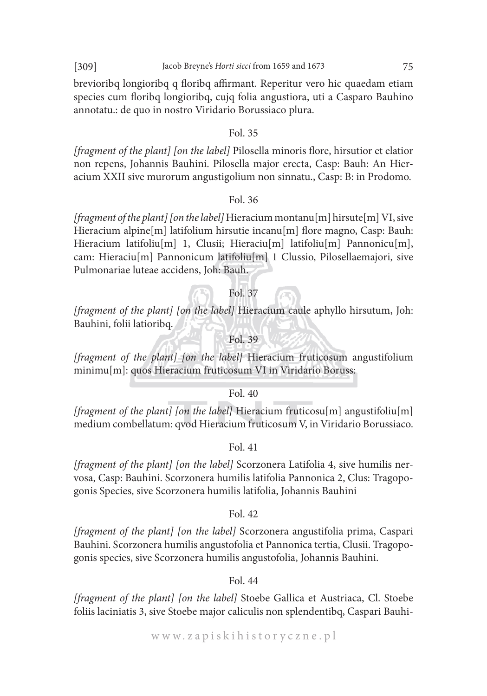brevioribq longioribq q floribq affirmant. Reperitur vero hic quaedam etiam species cum floribq longioribq, cujq folia angustiora, uti a Casparo Bauhino annotatu.: de quo in nostro Viridario Borussiaco plura.

#### Fol. 35

*[fragment of the plant] [on the label]* Pilosella minoris flore, hirsutior et elatior non repens, Johannis Bauhini. Pilosella major erecta, Casp: Bauh: An Hieracium XXII sive murorum angustigolium non sinnatu., Casp: B: in Prodomo.

#### Fol. 36

*[fragment of the plant] [on the label]* Hieracium montanu[m] hirsute[m] VI, sive Hieracium alpine[m] latifolium hirsutie incanu[m] flore magno, Casp: Bauh: Hieracium latifoliu<sup>[m]</sup> 1, Clusii; Hieraciu<sup>[m]</sup> latifoliu<sup>[m]</sup> Pannonicu<sup>[m]</sup>, cam: Hieraciu[m] Pannonicum latifoliu[m] 1 Clussio, Pilosellaemajori, sive Pulmonariae luteae accidens, Joh: Bauh.

# Fol. 37

*[fragment of the plant] [on the label]* Hieracium caule aphyllo hirsutum, Joh: Bauhini, folii latioribq.

# Fol. 39

*[fragment of the plant] [on the label]* Hieracium fruticosum angustifolium minimu[m]: quos Hieracium fruticosum VI in Viridario Boruss:

#### Fol. 40

*[fragment of the plant] [on the label]* Hieracium fruticosu[m] angustifoliu[m] medium combellatum: qvod Hieracium fruticosum V, in Viridario Borussiaco.

#### Fol. 41

*[fragment of the plant] [on the label]* Scorzonera Latifolia 4, sive humilis nervosa, Casp: Bauhini. Scorzonera humilis latifolia Pannonica 2, Clus: Tragopogonis Species, sive Scorzonera humilis latifolia, Johannis Bauhini

#### Fol. 42

*[fragment of the plant] [on the label]* Scorzonera angustifolia prima, Caspari Bauhini. Scorzonera humilis angustofolia et Pannonica tertia, Clusii. Tragopogonis species, sive Scorzonera humilis angustofolia, Johannis Bauhini.

#### Fol. 44

*[fragment of the plant] [on the label]* Stoebe Gallica et Austriaca, Cl. Stoebe foliis laciniatis 3, sive Stoebe major caliculis non splendentibq, Caspari Bauhi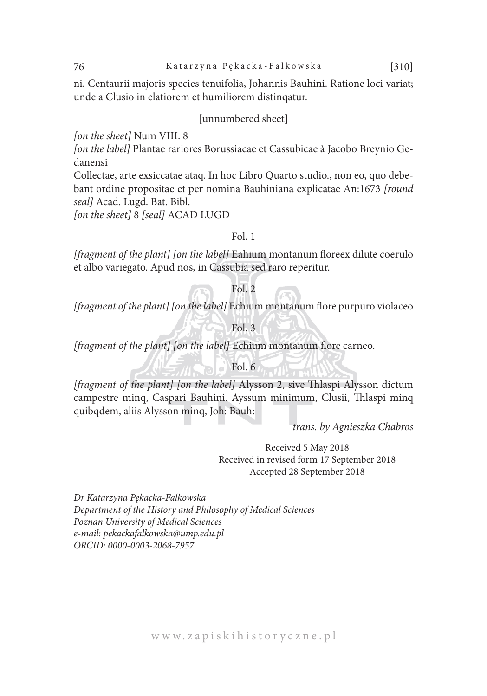ni. Centaurii majoris species tenuifolia, Johannis Bauhini. Ratione loci variat; unde a Clusio in elatiorem et humiliorem distinqatur.

### [unnumbered sheet]

*[on the sheet]* Num VIII. 8

*[on the label]* Plantae rariores Borussiacae et Cassubicae à Jacobo Breynio Gedanensi

Collectae, arte exsiccatae ataq. In hoc Libro Quarto studio., non eo, quo debebant ordine propositae et per nomina Bauhiniana explicatae An:1673 *[round seal]* Acad. Lugd. Bat. Bibl.

*[on the sheet]* 8 *[seal]* ACAD LUGD

#### Fol. 1

*[fragment of the plant] [on the label]* Eahium montanum floreex dilute coerulo et albo variegato. Apud nos, in Cassubia sed raro reperitur.

# Fol. 2

*[fragment of the plant] [on the label]* Echium montanum flore purpuro violaceo

# Fol. 3

*[fragment of the plant] [on the label]* Echium montanum flore carneo.

# Fol. 6

*[fragment of the plant] [on the label]* Alysson 2, sive Thlaspi Alysson dictum campestre minq, Caspari Bauhini. Ayssum minimum, Clusii, Thlaspi minq quibqdem, aliis Alysson minq, Joh: Bauh:

*trans. by Agnieszka Chabros*

Received 5 May 2018 Received in revised form 17 September 2018 Accepted 28 September 2018

*Dr Katarzyna Pękacka-Falkowska Department of the History and Philosophy of Medical Sciences Poznan University of Medical Sciences e-mail: pekackafalkowska@ump.edu.pl ORCID: 0000-0003-2068-7957*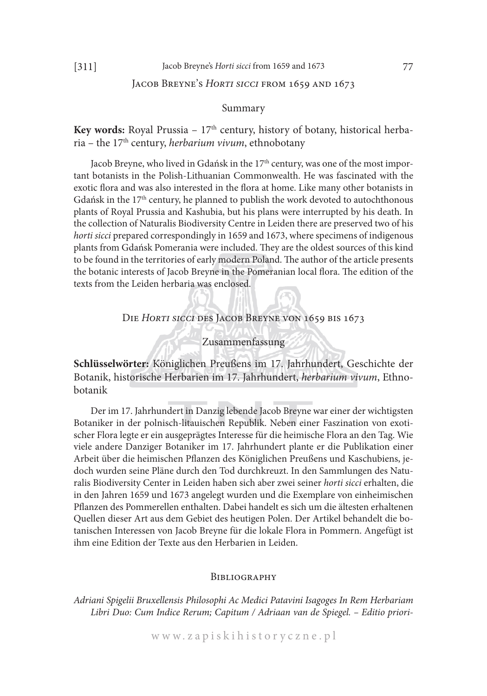# JACOB BREYNE'S HORTI SICCI FROM 1659 AND 1673

#### Summary

**Key words:** Royal Prussia – 17<sup>th</sup> century, history of botany, historical herbaria – the 17th century, *herbarium vivum*, ethnobotany

Jacob Breyne, who lived in Gdańsk in the 17<sup>th</sup> century, was one of the most important botanists in the Polish-Lithuanian Commonwealth. He was fascinated with the exotic flora and was also interested in the flora at home. Like many other botanists in Gdańsk in the  $17<sup>th</sup>$  century, he planned to publish the work devoted to autochthonous plants of Royal Prussia and Kashubia, but his plans were interrupted by his death. In the collection of Naturalis Biodiversity Centre in Leiden there are preserved two of his *horti sicci* prepared correspondingly in 1659 and 1673, where specimens of indigenous plants from Gdańsk Pomerania were included. They are the oldest sources of this kind to be found in the territories of early modern Poland. The author of the article presents the botanic interests of Jacob Breyne in the Pomeranian local flora. The edition of the texts from the Leiden herbaria was enclosed.

### Die *Horti sicci* des Jacob Breyne von 1659 bis 1673

Zusammenfassung

**Schlüsselwörter:** Königlichen Preußens im 17. Jahrhundert, Geschichte der Botanik, historische Herbarien im 17. Jahrhundert, *herbarium vivum*, Ethnobotanik

Der im 17. Jahrhundert in Danzig lebende Jacob Breyne war einer der wichtigsten Botaniker in der polnisch-litauischen Republik. Neben einer Faszination von exotischer Flora legte er ein ausgeprägtes Interesse für die heimische Flora an den Tag. Wie viele andere Danziger Botaniker im 17. Jahrhundert plante er die Publikation einer Arbeit über die heimischen Pflanzen des Königlichen Preußens und Kaschubiens, jedoch wurden seine Pläne durch den Tod durchkreuzt. In den Sammlungen des Naturalis Biodiversity Center in Leiden haben sich aber zwei seiner *horti sicci* erhalten, die in den Jahren 1659 und 1673 angelegt wurden und die Exemplare von einheimischen Pflanzen des Pommerellen enthalten. Dabei handelt es sich um die ältesten erhaltenen Quellen dieser Art aus dem Gebiet des heutigen Polen. Der Artikel behandelt die botanischen Interessen von Jacob Breyne für die lokale Flora in Pommern. Angefügt ist ihm eine Edition der Texte aus den Herbarien in Leiden.

#### **BIBLIOGRAPHY**

*Adriani Spigelii Bruxellensis Philosophi Ac Medici Patavini Isagoges In Rem Herbariam Libri Duo: Cum Indice Rerum; Capitum / Adriaan van de Spiegel. – Editio priori-*

w w w . z a p i s k i h i s t o r y c z n e . p l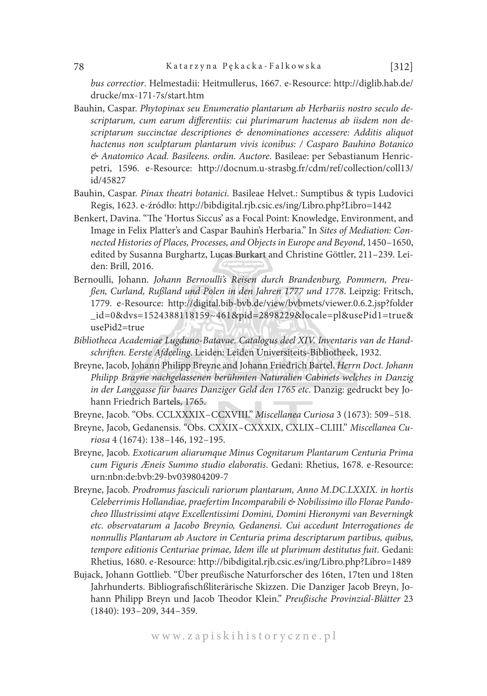*bus correctior*. Helmestadii: Heitmullerus, 1667. e-Resource: http://diglib.hab.de/ drucke/mx-171-7s/start.htm

- Bauhin, Caspar. *Phytopinax seu Enumeratio plantarum ab Herbariis nostro seculo descriptarum, cum earum differentiis: cui plurimarum hactenus ab iisdem non descriptarum succinctae descriptiones & denominationes accessere: Additis aliquot hactenus non sculptarum plantarum vivis iconibus: / Casparo Bauhino Botanico & Anatomico Acad. Basileens. ordin. Auctore*. Basileae: per Sebastianum Henricpetri, 1596. e-Resource: http://docnum.u-strasbg.fr/cdm/ref/collection/coll13/ id/45827
- Bauhin, Caspar. *Pinax theatri botanici*. Basileae Helvet.: Sumptibus & typis Ludovici Regis, 1623. e-źródło: http://bibdigital.rjb.csic.es/ing/Libro.php?Libro=1442
- Benkert, Davina. "The 'Hortus Siccus' as a Focal Point: Knowledge, Environment, and Image in Felix Platter's and Caspar Bauhin's Herbaria." In *Sites of Mediation: Connected Histories of Places, Processes, and Objects in Europe and Beyond*, 1450–1650, edited by Susanna Burghartz, Lucas Burkart and Christine Göttler, 211–239. Leiden: Brill, 2016.
- Bernoulli, Johann. *Johann Bernoulli's Reisen durch Brandenburg, Pommern, Preußen, Curland, Rußland und Polen in den Jahren 1777 und 1778*. Leipzig: Fritsch, 1779. e-Resource: http://digital.bib-bvb.de/view/bvbmets/viewer.0.6.2.jsp?folder \_id=0&dvs=1524388118159~461&pid=2898229&locale=pl&usePid1=true& usePid2=true
- *Bibliotheca Academiae Lugduno-Batavae. Catalogus deel XIV. Inventaris van de Handschriften. Eerste Afdeeling*. Leiden: Leiden Universiteits-Bibliotheek, 1932.
- Breyne, Jacob, Johann Philipp Breyne and Johann Friedrich Bartel. *Herrn Doct. Johann Philipp Brayne nachgelassenen berühmten Naturalien Cabinets welches in Danzig in der Langgasse für baares Danziger Geld den 1765 etc*. Danzig: gedruckt bey Johann Friedrich Bartels, 1765.
- Breyne, Jacob. "Obs. CCLXXXIX–CCXVIII." *Miscellanea Curiosa* 3 (1673): 509–518.
- Breyne, Jacob, Gedanensis. "Obs. CXXIX–CXXXIX, CXLIX–CLIII." *Miscellanea Curiosa* 4 (1674): 138–146, 192–195.
- Breyne, Jacob. *Exoticarum aliarumque Minus Cognitarum Plantarum Centuria Prima cum Figuris Æneis Summo studio elaboratis*. Gedani: Rhetius, 1678. e-Resource: urn:nbn:de:bvb:29-bv039804209-7
- Breyne, Jacob. *Prodromus fasciculi rariorum plantarum, Anno M.DC.LXXIX. in hortis Celeberrimis Hollandiae, praefertim Incomparabili & Nobilissimo illo Florae Pandocheo Illustrissimi atqve Excellentissimi Domini, Domini Hieronymi van Beverningk etc. observatarum a Jacobo Breynio, Gedanensi. Cui accedunt Interrogationes de nonnullis Plantarum ab Auctore in Centuria prima descriptarum partibus, quibus, tempore editionis Centuriae primae, Idem ille ut plurimum destitutus fuit*. Gedani: Rhetius, 1680. e-Resource: http://bibdigital.rjb.csic.es/ing/Libro.php?Libro=1489
- Bujack, Johann Gottlieb. "Über preußische Naturforscher des 16ten, 17ten und 18ten Jahrhunderts. Bibliografischßliterärische Skizzen. Die Danziger Jacob Breyn, Johann Philipp Breyn und Jacob Theodor Klein." *Preußische Provinzial-Blätter* 23 (1840): 193–209, 344–359.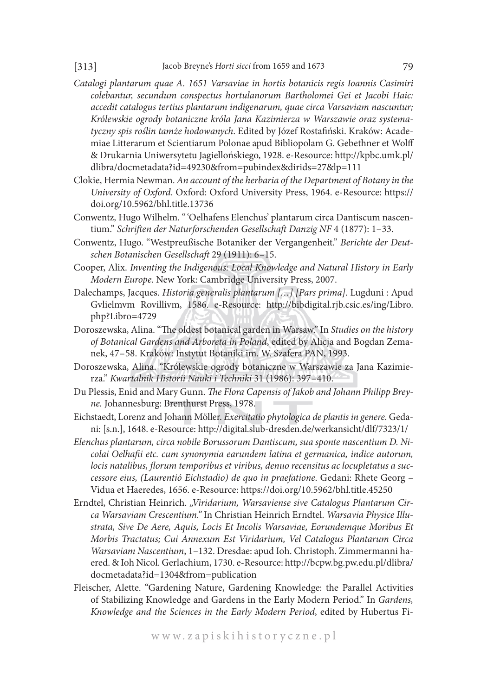- *Catalogi plantarum quae A. 1651 Varsaviae in hortis botanicis regis Ioannis Casimiri colebantur, secundum conspectus hortulanorum Bartholomei Gei et Jacobi Haic: accedit catalogus tertius plantarum indigenarum, quae circa Varsaviam nascuntur; Królewskie ogrody botaniczne króla Jana Kazimierza w Warszawie oraz systematyczny spis roślin tamże hodowanych*. Edited by Józef Rostafiński. Kraków: Academiae Litterarum et Scientiarum Polonae apud Bibliopolam G. Gebethner et Wolff & Drukarnia Uniwersytetu Jagiellońskiego, 1928. e-Resource: http://kpbc.umk.pl/ dlibra/docmetadata?id=49230&from=pubindex&dirids=27&lp=111
- Clokie, Hermia Newman. *An account of the herbaria of the Department of Botany in the University of Oxford*. Oxford: Oxford University Press, 1964. e-Resource: https:// doi.org/10.5962/bhl.title.13736
- Conwentz*,* Hugo Wilhelm. "'Oelhafens Elenchus' plantarum circa Dantiscum nascentium." *Schriften der Naturforschenden Gesellschaft Danzig NF* 4 (1877): 1–33.
- Conwentz, Hugo. "Westpreußische Botaniker der Vergangenheit." *Berichte der Deutschen Botanischen Gesellschaft* 29 (1911): 6–15.
- Cooper, Alix. *Inventing the Indigenous: Local Knowledge and Natural History in Early Modern Europe*. New York: Cambridge University Press, 2007.
- Dalechamps, Jacques. *Historia generalis plantarum […] [Pars prima]*. Lugduni : Apud Gvlielmvm Rovillivm, 1586. e-Resource: http://bibdigital.rjb.csic.es/ing/Libro. php?Libro=4729
- Doroszewska, Alina. "The oldest botanical garden in Warsaw." In *Studies on the history of Botanical Gardens and Arboreta in Poland*, edited by Alicja and Bogdan Zemanek, 47–58. Kraków: Instytut Botaniki im. W. Szafera PAN, 1993.
- Doroszewska, Alina. "Królewskie ogrody botaniczne w Warszawie za Jana Kazimierza." *Kwartalnik Historii Nauki i Techniki* 31 (1986): 397–410.
- Du Plessis, Enid and Mary Gunn. *The Flora Capensis of Jakob and Johann Philipp Breyne.* Johannesburg: Brenthurst Press, 1978.
- Eichstaedt, Lorenz and Johann Möller. *Exercitatio phytologica de plantis in genere*. Gedani: [s.n.], 1648. e-Resource: http://digital.slub-dresden.de/werkansicht/dlf/7323/1/
- *Elenchus plantarum, circa nobile Borussorum Dantiscum, sua sponte nascentium D. Nicolai Oelhafii etc. cum synonymia earundem latina et germanica, indice autorum, locis natalibus, florum temporibus et viribus, denuo recensitus ac locupletatus a successore eius, (Laurentió Eichstadio) de quo in praefatione*. Gedani: Rhete Georg – Vidua et Haeredes, 1656. e-Resource: https://doi.org/10.5962/bhl.title.45250
- Erndtel, Christian Heinrich. *"Viridarium, Warsaviense sive Catalogus Plantarum Circa Warsaviam Crescentium."* In Christian Heinrich Erndtel. *Warsavia Physice Illustrata, Sive De Aere, Aquis, Locis Et Incolis Warsaviae, Eorundemque Moribus Et Morbis Tractatus; Cui Annexum Est Viridarium, Vel Catalogus Plantarum Circa Warsaviam Nascentium*, 1–132. Dresdae: apud Ioh. Christoph. Zimmermanni haered. & Ioh Nicol. Gerlachium, 1730. e-Resource: http://bcpw.bg.pw.edu.pl/dlibra/ docmetadata?id=1304&from=publication
- Fleischer, Alette. "Gardening Nature, Gardening Knowledge: the Parallel Activities of Stabilizing Knowledge and Gardens in the Early Modern Period." In *Gardens, Knowledge and the Sciences in the Early Modern Period*, edited by Hubertus Fi-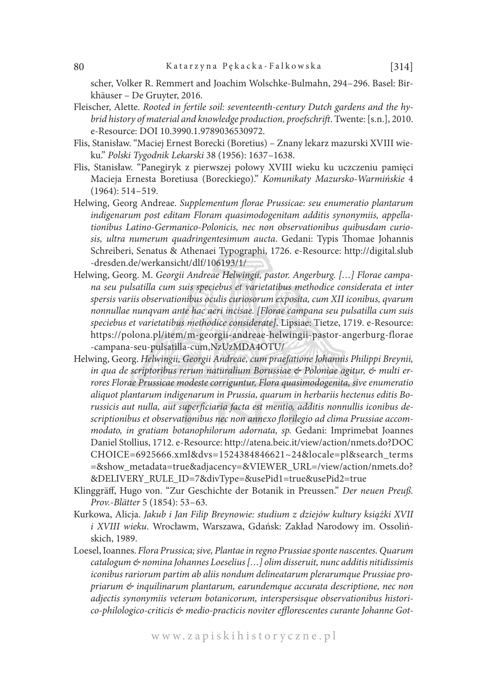scher, Volker R. Remmert and Joachim Wolschke-Bulmahn, 294–296. Basel: Birkhäuser – De Gruyter, 2016.

- Fleischer, Alette. *Rooted in fertile soil: seventeenth-century Dutch gardens and the hybrid history of material and knowledge production, proefschrift*. Twente: [s.n.], 2010. e-Resource: DOI 10.3990.1.9789036530972.
- Flis, Stanisław. "Maciej Ernest Borecki (Boretius) Znany lekarz mazurski XVIII wieku." *Polski Tygodnik Lekarski* 38 (1956): 1637–1638.
- Flis, Stanisław. "Panegiryk z pierwszej połowy XVIII wieku ku uczczeniu pamięci Macieja Ernesta Boretiusa (Boreckiego)." *Komunikaty Mazursko-Warmińskie* 4 (1964): 514–519.
- Helwing, Georg Andreae. *Supplementum florae Prussicae: seu enumeratio plantarum indigenarum post editam Floram quasimodogenitam additis synonymiis, appellationibus Latino-Germanico-Polonicis, nec non observationibus quibusdam curiosis, ultra numerum quadringentesimum aucta*. Gedani: Typis Thomae Johannis Schreiberi, Senatus & Athenaei Typographi, 1726. e-Resource: http://digital.slub -dresden.de/werkansicht/dlf/106193/1/
- Helwing, Georg. M. *Georgii Andreae Helwingii, pastor. Angerburg. […] Florae campana seu pulsatilla cum suis speciebus et varietatibus methodice considerata et inter spersis variis observationibus oculis curiosorum exposita, cum XII iconibus, qvarum nonnullae nunqvam ante hac aeri incisae. [Florae campana seu pulsatilla cum suis speciebus et varietatibus methodice considerate]*. Lipsiae: Tietze, 1719. e-Resource: https://polona.pl/item/m-georgii-andreae-helwingii-pastor-angerburg-florae -campana-seu-pulsatilla-cum,NzUzMDA4OTU/
- Helwing, Georg. *Helwingii, Georgii Andreae, cum praefatione Johannis Philippi Breynii, in qua de scriptoribus rerum naturalium Borussiae & Poloniae agitur, & multi errores Florae Prussicae modeste corriguntur, Flora quasimodogenita, sive enumeratio aliquot plantarum indigenarum in Prussia, quarum in herbariis hectenus editis Borussicis aut nulla, aut superficiaria facta est mentio, additis nonnullis iconibus descriptionibus et observationibus nec non annexo florilegio ad clima Prussiae accommodato, in gratiam botanophilorum adornata, sp.* Gedani: Imprimebat Joannes Daniel Stollius, 1712. e-Resource: http://atena.beic.it/view/action/nmets.do?DOC CHOICE=6925666.xml&dvs=1524384846621~24&locale=pl&search\_terms =&show\_metadata=true&adjacency=&VIEWER\_URL=/view/action/nmets.do? &DELIVERY\_RULE\_ID=7&divType=&usePid1=true&usePid2=true
- Klinggräff, Hugo von. "Zur Geschichte der Botanik in Preussen." *Der neuen Preuß. Prov.-Blätter* 5 (1854): 53–63.
- Kurkowa, Alicja. *Jakub i Jan Filip Breynowie: studium z dziejów kultury książki XVII i XVIII wieku*. Wrocławm, Warszawa, Gdańsk: Zakład Narodowy im. Ossolińskich, 1989.
- Loesel, Ioannes. *Flora Prussica; sive, Plantae in regno Prussiae sponte nascentes. Quarum catalogum & nomina Johannes Loeselius […] olim disseruit, nunc additis nitidissimis iconibus rariorum partim ab aliis nondum delineatarum plerarumque Prussiae propriarum & inquilinarum plantarum, earundemque accurata descriptione, nec non adjectis synonymiis veterum botanicorum, interspersisque observationibus historico-philologico-criticis & medio-practicis noviter efflorescentes curante Johanne Got-*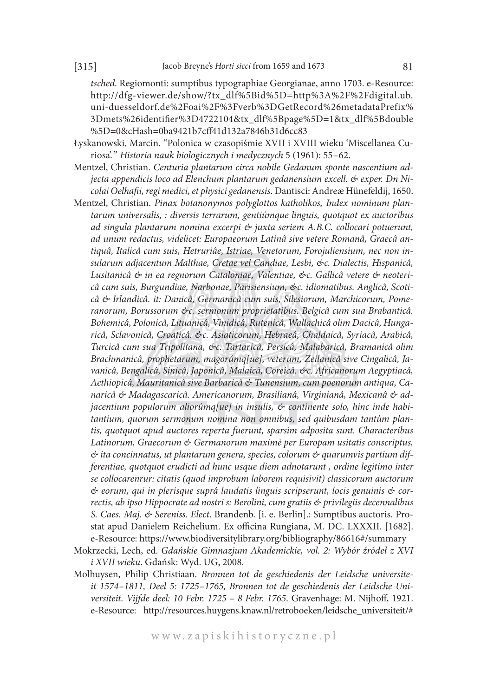*tsched*. Regiomonti: sumptibus typographiae Georgianae, anno 1703. e-Resource: http://dfg-viewer.de/show/?tx\_dlf%5Bid%5D=http%3A%2F%2Fdigital.ub. uni-duesseldorf.de%2Foai%2F%3Fverb%3DGetRecord%26metadataPrefix% 3Dmets%26identifier%3D4722104&tx\_dlf%5Bpage%5D=1&tx\_dlf%5Bdouble %5D=0&cHash=0ba9421b7cff41d132a7846b31d6cc83

- Łyskanowski, Marcin. "Polonica w czasopiśmie XVII i XVIII wieku 'Miscellanea Curiosa'. " *Historia nauk biologicznych i medycznych* 5 (1961): 55–62.
- Mentzel, Christian. *Centuria plantarum circa nobile Gedanum sponte nascentium adjecta appendicis loco ad Elenchum plantarum gedanensium excell. & exper. Dn Nicolai Oelhafii, regi medici, et physici gedanensis*. Dantisci: Andreæ Hünefeldij, 1650.
- Mentzel, Christian. *Pinax botanonymos polyglottos katholikos, Index nominum plantarum universalis, : diversis terrarum, gentiúmque linguis, quotquot ex auctoribus ad singula plantarum nomina excerpi & juxta seriem A.B.C. collocari potuerunt, ad unum redactus, videlicet: Europaeorum Latinâ sive vetere Romanâ, Graecâ antiquâ, Italicâ cum suis, Hetruriâe, Istriae, Venetorum, Forojuliensium, nec non insularum adjacentum Malthae, Cretae vel Candiae, Lesbi, &c. Dialectis, Hispanicâ, Lusitanicâ & in ea regnorum Cataloniae, Valentiae, &c. Gallicâ vetere & neotericâ cum suis, Burgundiae, Narbonae, Parisiensium, &c. idiomatibus. Anglicâ, Scoticâ & Irlandicâ. it: Danicâ, Germanicâ cum suis, Silesiorum, Marchicorum, Pomeranorum, Borussorum &c. sermonum proprietatibus. Belgicâ cum sua Brabanticâ. Bohemicâ, Polonicâ, Lituanicâ, Vinidicâ, Rutenicâ, Wallachicâ olim Dacicâ, Hungaricâ, Sclavonicâ, Croaticâ. &c. Asiaticorum, Hebraeâ, Chaldaicâ, Syriacâ, Arabicâ, Turcicâ cum sua Tripolitana, &c. Tartaricâ, Persicâ, Malabaricâ, Bramanicâ olim Brachmanicâ, prophetarum, magorúmq[ue], veterum, Zeilanicâ sive Cingalicâ, Javanicâ, Bengalicâ, Sinicâ, Japonicâ, Malaicâ, Coreicâ. &c. Africanorum Aegyptiacâ, Aethiopicâ, Mauritanicâ sive Barbaricâ & Tunensium, cum poenorum antiqua, Canaricâ & Madagascaricâ. Americanorum, Brasilianâ, Virginianâ, Mexicanâ & adjacentium populorum aliorúmq[ue] in insulis, & continente solo, hinc inde habitantium, quorum sermonum nomina non omnibus, sed quibusdam tantùm plantis, quotquot apud auctores reperta fuerunt, sparsim adposita sunt. Characteribus Latinorum, Graecorum & Germanorum maximè per Europam usitatis conscriptus, & ita concinnatus, ut plantarum genera, species, colorum & quarumvis partium differentiae, quotquot erudicti ad hunc usque diem adnotarunt , ordine legitimo inter se collocarenrur: citatis (quod improbum laborem requisivit) classicorum auctorum & eorum, qui in plerisque suprâ laudatis linguis scripserunt, locis genuinis & correctis, ab ipso Hippocrate ad nostri s: Berolini, cum gratiis & privilegiis decennalibus S. Caes. Maj. & Sereniss. Elect*. Brandenb. [i. e. Berlin].: Sumptibus auctoris. Prostat apud Danielem Reichelium. Ex officina Rungiana, M. DC. LXXXII. [1682]. e-Resource: https://www.biodiversitylibrary.org/bibliography/86616#/summary
- Mokrzecki, Lech, ed. *Gdańskie Gimnazjum Akademickie, vol. 2: Wybór źródeł z XVI i XVII wieku*. Gdańsk: Wyd. UG, 2008.
- Molhuysen, Philip Christiaan. *Bronnen tot de geschiedenis der Leidsche universiteit 1574–1811, Deel 5: 1725–1765, Bronnen tot de geschiedenis der Leidsche Universiteit. Vijfde deel: 10 Febr. 1725 – 8 Febr. 1765*. Gravenhage: M. Nijhoff, 1921. e-Resource: http://resources.huygens.knaw.nl/retroboeken/leidsche\_universiteit/#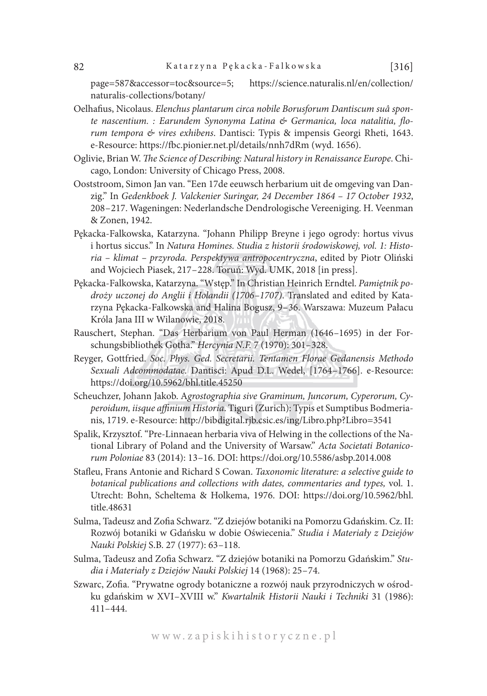page=587&accessor=toc&source=5; https://science.naturalis.nl/en/collection/ naturalis-collections/botany/

- Oelhafius, Nicolaus. *Elenchus plantarum circa nobile Borusforum Dantiscum suâ sponte nascentium. : Earundem Synonyma Latina & Germanica, loca natalitia, florum tempora & vires exhibens*. Dantisci: Typis & impensis Georgi Rheti, 1643. e-Resource: https://fbc.pionier.net.pl/details/nnh7dRm (wyd. 1656).
- Oglivie, Brian W. *The Science of Describing: Natural history in Renaissance Europe*. Chicago, London: University of Chicago Press, 2008.
- Ooststroom, Simon Jan van. "Een 17de eeuwsch herbarium uit de omgeving van Danzig." In *Gedenkboek J. Valckenier Suringar, 24 December 1864 – 17 October 1932*, 208–217. Wageningen: Nederlandsche Dendrologische Vereeniging. H. Veenman & Zonen, 1942.
- Pękacka-Falkowska, Katarzyna. "Johann Philipp Breyne i jego ogrody: hortus vivus i hortus siccus." In *Natura Homines. Studia z historii środowiskowej, vol. 1: Historia – klimat – przyroda. Perspektywa antropocentryczna*, edited by Piotr Oliński and Wojciech Piasek, 217–228. Toruń: Wyd. UMK, 2018 [in press].
- Pękacka-Falkowska, Katarzyna. "Wstęp." In Christian Heinrich Erndtel. *Pamiętnik podroży uczonej do Anglii i Holandii (1706–1707)*. Translated and edited by Katarzyna Pękacka-Falkowska and Halina Bogusz, 9–36. Warszawa: Muzeum Pałacu Króla Jana III w Wilanowie, 2018.
- Rauschert, Stephan. "Das Herbarium von Paul Herman (1646–1695) in der Forschungsbibliothek Gotha." *Hercynia N.F.* 7 (1970): 301–328.
- Reyger, Gottfried. *Soc. Phys. Ged. Secretarii. Tentamen Florae Gedanensis Methodo Sexuali Adcommodatae*. Dantisci: Apud D.L. Wedel, [1764–1766]. e-Resource: https://doi.org/10.5962/bhl.title.45250
- Scheuchzer, Johann Jakob. A*grostographia sive Graminum, Juncorum, Cyperorum, Cyperoidum, iisque affinium Historia*. Tiguri (Zurich): Typis et Sumptibus Bodmerianis, 1719. e-Resource: http://bibdigital.rjb.csic.es/ing/Libro.php?Libro=3541
- Spalik, Krzysztof. "Pre-Linnaean herbaria viva of Helwing in the collections of the National Library of Poland and the University of Warsaw." *Acta Societati Botanicorum Poloniae* 83 (2014): 13–16. DOI: https://doi.org/10.5586/asbp.2014.008
- Stafleu, Frans Antonie and Richard S Cowan. *Taxonomic literature: a selective guide to botanical publications and collections with dates, commentaries and types,* vol. 1. Utrecht: Bohn, Scheltema & Holkema, 1976. DOI: https://doi.org/10.5962/bhl. title.48631
- Sulma, Tadeusz and Zofia Schwarz. "Z dziejów botaniki na Pomorzu Gdańskim. Cz. II: Rozwój botaniki w Gdańsku w dobie Oświecenia." *Studia i Materiały z Dziejów Nauki Polskiej* S.B. 27 (1977): 63–118.
- Sulma, Tadeusz and Zofia Schwarz. "Z dziejów botaniki na Pomorzu Gdańskim." *Studia i Materiały z Dziejów Nauki Polskiej* 14 (1968): 25–74.
- Szwarc, Zofia. "Prywatne ogrody botaniczne a rozwój nauk przyrodniczych w ośrodku gdańskim w XVI–XVIII w." *Kwartalnik Historii Nauki i Techniki* 31 (1986): 411–444.